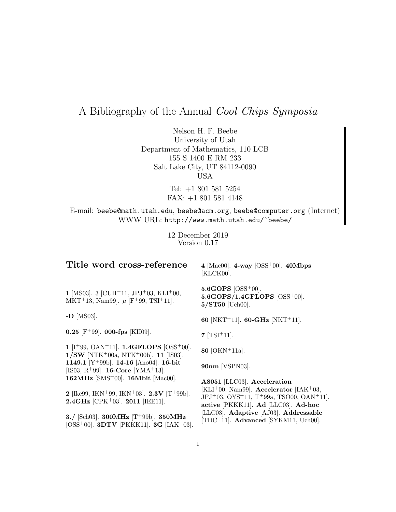# A Bibliography of the Annual Cool Chips Symposia

Nelson H. F. Beebe University of Utah Department of Mathematics, 110 LCB 155 S 1400 E RM 233 Salt Lake City, UT 84112-0090 USA

> Tel: +1 801 581 5254 FAX: +1 801 581 4148

E-mail: beebe@math.utah.edu, beebe@acm.org, beebe@computer.org (Internet) WWW URL: http://www.math.utah.edu/~beebe/

> 12 December 2019 Version 0.17

# **Title word cross-reference**

**4** [Mac00]. **4-way** [OSS<sup>+</sup>00]. **40Mbps** [KLCK00].

1 [MS03]. 3 [CUH<sup>+</sup>11, JPJ<sup>+</sup>03, KLI<sup>+</sup>00, MKT<sup>+</sup>13, Nam99.  $\mu$  [F<sup>+</sup>99, TSI<sup>+</sup>11].

**-D** [MS03].

**0.25** [F<sup>+</sup>99]. **000-fps** [KII09].

**1** [I<sup>+</sup>99, OAN<sup>+</sup>11]. **1.4GFLOPS** [OSS<sup>+</sup>00]. **1/SW** [NTK<sup>+</sup>00a, NTK<sup>+</sup>00b]. **11** [IS03]. **1149.1** [Y<sup>+</sup>99b]. **14-16** [Ano04]. **16-bit** [IS03, R<sup>+</sup>99]. **16-Core** [YMA<sup>+</sup>13]. **162MHz** [SMS<sup>+</sup>00]. **16Mbit** [Mac00].

**2** [Ike99, IKN<sup>+</sup>99, IKN<sup>+</sup>03]. **2.3V** [T<sup>+</sup>99b]. **2.4GHz** [CPK<sup>+</sup>03]. **2011** [IEE11].

**3./** [Sch03]. **300MHz** [T<sup>+</sup>99b]. **350MHz** [OSS<sup>+</sup>00]. **3DTV** [PKKK11]. **3G** [IAK<sup>+</sup>03]. **5.6GOPS** [OSS<sup>+</sup>00]. **5.6GOPS/1.4GFLOPS** [OSS<sup>+</sup>00]. **5/ST50** [Uch00].

**60** [NKT<sup>+</sup>11]. **60-GHz** [NKT<sup>+</sup>11].

**7** [TSI<sup>+</sup>11].

**80** [OKN<sup>+</sup>11a].

**90nm** [VSPN03].

**A8051** [LLC03]. **Acceleration** [KLI<sup>+</sup>00, Nam99]. **Accelerator** [IAK<sup>+</sup>03, JPJ<sup>+</sup>03, OYS<sup>+</sup>11, T<sup>+</sup>99a, TSO00, OAN<sup>+</sup>11]. **active** [PKKK11]. **Ad** [LLC03]. **Ad-hoc** [LLC03]. **Adaptive** [AJ03]. **Addressable** [TDC<sup>+</sup>11]. **Advanced** [SYKM11, Uch00].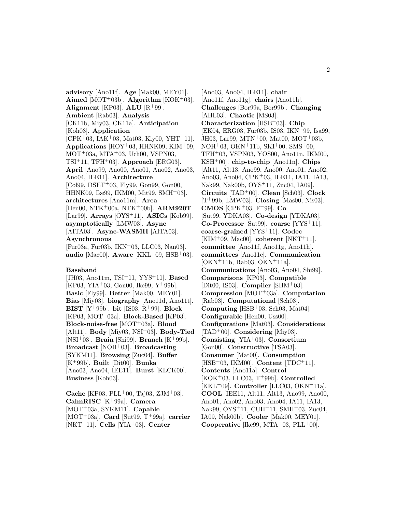**advisory** [Ano11f]. **Age** [Mak00, MEY01]. **Aimed** [MOT<sup>+</sup>03b]. **Algorithm** [KOK<sup>+</sup>03]. **Alignment** [KP03]. **ALU**  $[R^+99]$ . **Ambient** [Rab03]. **Analysis** [CK11b, Miy03, CK11a]. **Anticipation** [Koh03]. **Application**  $[CPK<sup>+</sup>03, IAK<sup>+</sup>03, Mat03, Kiy00, YHT<sup>+</sup>11].$ **Applications** [HOY<sup>+</sup>03, HHNK09, KIM<sup>+</sup>09, MOT<sup>+</sup>03a, MTA<sup>+</sup>03, Uch00, VSPN03, TSI<sup>+</sup>11, TFH<sup>+</sup>03]. **Approach** [ERG03]. **April** [Ano99, Ano00, Ano01, Ano02, Ano03, Ano04, IEE11]. **Architecture** [Col99, DSET<sup>+</sup>03, Fly99, Gon99, Gon00,  $HHNK09, 1k.99, 1KM00, Mit99, SMH<sup>+</sup>03.$ **architectures** [Ano11m]. **Area** [Hen00, NTK<sup>+</sup>00a, NTK<sup>+</sup>00b]. **ARM920T** [Lar99]. **Arrays** [OYS<sup>+</sup>11]. **ASICs** [Kob99]. **asymptotically** [LMW03]. **Async** [AITA03]. **Async-WASMII** [AITA03]. **Asynchronous** [Fur03a, Fur03b, IKN<sup>+</sup>03, LLC03, Nan03]. **audio** [Mac00]. **Aware** [KKL<sup>+</sup>09, HSB<sup>+</sup>03].

### **Baseband**

[JH03, Ano11m, TSI<sup>+</sup>11, YYS<sup>+</sup>11]. **Based** [KP03, YIA<sup>+</sup>03, Gon00, Ike99, Y<sup>+</sup>99b]. **Basic** [Fly99]. **Better** [Mak00, MEY01]. **Bias** [Miy03]. **biography** [Ano11d, Ano11t]. **BIST** [Y<sup>+</sup>99b]. **bit** [IS03, R<sup>+</sup>99]. **Block** [KP03, MOT<sup>+</sup>03a]. **Block-Based** [KP03]. **Block-noise-free** [MOT<sup>+</sup>03a]. **Blood** [Alt11]. **Body** [Miy03, NSI<sup>+</sup>03]. **Body-Tied** [NSI<sup>+</sup>03]. **Brain** [Shi99]. **Branch** [K<sup>+</sup>99b]. **Broadcast** [NOH<sup>+</sup>03]. **Broadcasting** [SYKM11]. **Browsing** [Zuc04]. **Buffer** [K<sup>+</sup>99b]. **Built** [Dit00]. **Bunka** [Ano03, Ano04, IEE11]. **Burst** [KLCK00]. **Business** [Koh03].

**Cache** [KP03, PLL<sup>+</sup>00, Taj03, ZJM<sup>+</sup>03]. **CalmRISC** [K<sup>+</sup>99a]. **Camera** [MOT<sup>+</sup>03a, SYKM11]. **Capable** [MOT<sup>+</sup>03a]. **Card** [Sut99, T<sup>+</sup>99a]. **carrier** [NKT<sup>+</sup>11]. **Cells** [YIA<sup>+</sup>03]. **Center**

[Ano03, Ano04, IEE11]. **chair** [Ano11f, Ano11g]. **chairs** [Ano11h]. **Challenges** [Bor99a, Bor99b]. **Changing** [AHL03]. **Chaotic** [MS03]. **Characterization** [HSB<sup>+</sup>03]. **Chip** [EK04, ERG03, Fur03b, IS03, IKN<sup>+</sup>99, Isa99, JH03, Lar99, MTN<sup>+</sup>00, Mat00, MOT<sup>+</sup>03b, NOH<sup>+</sup>03, OKN<sup>+</sup>11b, SKI<sup>+</sup>00, SMS<sup>+</sup>00, TFH<sup>+</sup>03, VSPN03, YOS00, Ano11n, IKM00, KSH<sup>+</sup>00]. **chip-to-chip** [Ano11n]. **Chips** [Alt11, Alt13, Ano99, Ano00, Ano01, Ano02, Ano03, Ano04, CPK<sup>+</sup>03, IEE11, IA11, IA13, Nak99, Nak00b, OYS<sup>+</sup>11, Zuc04, IA09]. **Circuits** [TAD<sup>+</sup>00]. **Clean** [Sch03]. **Clock** [T<sup>+</sup>99b, LMW03]. **Closing** [Mas00, Nis03]. **CMOS** [CPK<sup>+</sup>03, F<sup>+</sup>99]. **Co** [Sut99, YDKA03]. **Co-design** [YDKA03]. **Co-Processor** [Sut99]. **coarse** [YYS<sup>+</sup>11]. **coarse-grained** [YYS<sup>+</sup>11]. **Codec** [KIM<sup>+</sup>09, Mac00]. **coherent** [NKT<sup>+</sup>11]. **committee** [Ano11f, Ano11g, Ano11h]. **committees** [Ano11e]. **Communication** [OKN<sup>+</sup>11b, Rab03, OKN<sup>+</sup>11a]. **Communications** [Ano03, Ano04, Shi99]. **Comparisons** [KP03]. **Compatible** [Dit00, IS03]. **Compiler** [SHM<sup>+</sup>03]. **Compression** [MOT<sup>+</sup>03a]. **Computation** [Rab03]. **Computational** [Sch03]. **Computing** [HSB<sup>+</sup>03, Sch03, Mat04]. **Configurable** [Hen00, Uss00]. **Configurations** [Mat03]. **Considerations** [TAD<sup>+</sup>00]. **Considering** [Miy03]. **Consisting** [YIA<sup>+</sup>03]. **Consortium** [Gon00]. **Constructive** [TSA03]. **Consumer** [Mat00]. **Consumption** [HSB<sup>+</sup>03, IKM00]. **Content** [TDC<sup>+</sup>11]. **Contents** [Ano11a]. **Control** [KOK<sup>+</sup>03, LLC03, T<sup>+</sup>99b]. **Controlled** [KKL<sup>+</sup>09]. **Controller** [LLC03, OKN<sup>+</sup>11a]. **COOL** [IEE11, Alt11, Alt13, Ano99, Ano00, Ano01, Ano02, Ano03, Ano04, IA11, IA13, Nak99, OYS<sup>+</sup>11, CUH<sup>+</sup>11, SMH<sup>+</sup>03, Zuc04, IA09, Nak00b]. **Cooler** [Mak00, MEY01]. **Cooperative** [Ike99, MTA+03, PLL+00].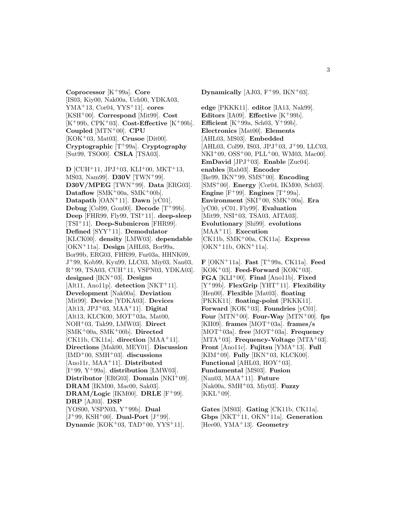**Coprocessor** [K<sup>+</sup>99a]. **Core** [IS03, Kiy00, Nak00a, Uch00, YDKA03, YMA<sup>+</sup>13, Cor04, YYS<sup>+</sup>11]. **cores** [KSH<sup>+</sup>00]. **Correspond** [Mit99]. **Cost** [K<sup>+</sup>99b, CPK<sup>+</sup>03]. **Cost-Effective** [K<sup>+</sup>99b]. **Coupled** [MTN<sup>+</sup>00]. **CPU** [KOK<sup>+</sup>03, Mat03]. **Crusoe** [Dit00]. **Cryptographic** [T<sup>+</sup>99a]. **Cryptography** [Sut99, TSO00]. **CSLA** [TSA03].

**D** [CUH<sup>+</sup>11, JPJ<sup>+</sup>03, KLI<sup>+</sup>00, MKT<sup>+</sup>13, MS03, Nam99]. **D30V** [TWN<sup>+</sup>99]. **D30V/MPEG** [TWN<sup>+</sup>99]. **Data** [ERG03]. **Dataflow** [SMK<sup>+</sup>00a, SMK<sup>+</sup>00b]. **Datapath** [OAN<sup>+</sup>11]. **Dawn** [yC01]. **Debug** [Col99, Gon00]. **Decode**  $[T^+99b]$ . **Deep** [FHR99, Fly99, TSI<sup>+</sup>11]. **deep-sleep** [TSI<sup>+</sup>11]. **Deep-Submicron** [FHR99]. **Defined** [SYY<sup>+</sup>11]. **Demodulator** [KLCK00]. **density** [LMW03]. **dependable** [OKN<sup>+</sup>11a]. **Design** [AHL03, Bor99a, Bor99b, ERG03, FHR99, Fur03a, HHNK09, J<sup>+</sup>99, Kob99, Kyu99, LLC03, Miy03, Nan03, R<sup>+</sup>99, TSA03, CUH<sup>+</sup>11, VSPN03, YDKA03]. **designed** [IKN<sup>+</sup>03]. **Designs** [Alt11, Ano11p]. **detection** [NKT<sup>+</sup>11]. **Development** [Nak00a]. **Deviation** [Mit99]. **Device** [YDKA03]. **Devices** [Alt13, JPJ<sup>+</sup>03, MAA<sup>+</sup>11]. **Digital**  $[Alt13, KLCK00, MOT<sup>+</sup>03a, Mat00,$ NOH<sup>+</sup>03, Tak99, LMW03]. **Direct** [SMK<sup>+</sup>00a, SMK<sup>+</sup>00b]. **Directed** [CK11b, CK11a]. **direction** [MAA<sup>+</sup>11]. **Directions** [Mak00, MEY01]. **Discussion** [IMD<sup>+</sup>00, SMH<sup>+</sup>03]. **discussions** [Ano11r, MAA<sup>+</sup>11]. **Distributed** [I<sup>+</sup>99, Y<sup>+</sup>99a]. **distribution** [LMW03]. **Distributor** [ERG03]. **Domain** [NKI<sup>+</sup>09]. **DRAM** [IKM00, Mac00, Sak03]. **DRAM/Logic** [IKM00]. **DRLE** [F<sup>+</sup>99]. **DRP** [AJ03]. **DSP** [YOS00, VSPN03, Y<sup>+</sup>99b]. **Dual**  $[J+99, KSH+00]$ . **Dual-Port**  $[J+99]$ .

**Dynamic** [KOK<sup>+</sup>03, TAD<sup>+</sup>00, YYS<sup>+</sup>11].

**Dynamically** [AJ03,  $F+99$ ,  $IKN+03$ ].

**edge** [PKKK11]. **editor** [IA13, Nak99]. **Editors** [IA09]. **Effective** [K<sup>+</sup>99b]. **Efficient** [K<sup>+</sup>99a, Sch03, Y<sup>+</sup>99b]. **Electronics** [Mat00]. **Elements** [AHL03, MS03]. **Embedded** [AHL03, Col99, IS03, JPJ<sup>+</sup>03, J<sup>+</sup>99, LLC03, NKI<sup>+</sup>09, OSS<sup>+</sup>00, PLL<sup>+</sup>00, WM03, Mac00]. **EmDavid** [JPJ<sup>+</sup>03]. **Enable** [Zuc04]. **enables** [Rab03]. **Encoder** [Ike99, IKN<sup>+</sup>99, SMS<sup>+</sup>00]. **Encoding** [SMS<sup>+</sup>00]. **Energy** [Cor04, IKM00, Sch03]. **Engine**  $[F^+99]$ . **Engines**  $[T^+99a]$ . **Environment** [SKI<sup>+</sup>00, SMK<sup>+</sup>00a]. **Era** [yC00, yC01, Fly99]. **Evaluation** [Mit99, NSI<sup>+</sup>03, TSA03, AITA03]. **Evolutionary** [Shi99]. **evolutions** [MAA<sup>+</sup>11]. **Execution** [CK11b, SMK<sup>+</sup>00a, CK11a]. **Express** [OKN<sup>+</sup>11b, OKN<sup>+</sup>11a].

 $\mathbf{F}$  [OKN<sup>+</sup>11a]. **Fast** [T<sup>+</sup>99a, CK11a]. **Feed**  $[KOK<sup>+</sup>03]$ . **Feed-Forward**  $[KOK<sup>+</sup>03]$ . **FGA** [KLI<sup>+</sup>00]. **Final** [Ano11b]. **Fixed** [Y<sup>+</sup>99b]. **FlexGrip** [YHT<sup>+</sup>11]. **Flexibility** [Hen00]. **Flexible** [Mat03]. **floating** [PKKK11]. **floating-point** [PKKK11]. **Forward** [KOK<sup>+</sup>03]. **Foundries** [yC01]. **Four** [MTN<sup>+</sup>00]. **Four-Way** [MTN<sup>+</sup>00]. **fps**  $[KII09]$ . **frames**  $[MOT^+03a]$ . **frames**/s [MOT<sup>+</sup>03a]. **free** [MOT<sup>+</sup>03a]. **Frequency** [MTA<sup>+</sup>03]. **Frequency-Voltage** [MTA<sup>+</sup>03]. **Front** [Ano11c]. **Fujitsu** [YMA<sup>+</sup>13]. **Full** [KIM<sup>+</sup>09]. **Fully** [IKN<sup>+</sup>03, KLCK00]. Functional [AHL03, HOY<sup>+</sup>03]. **Fundamental** [MS03]. **Fusion** [Nan03, MAA<sup>+</sup>11]. **Future** [Nak00a, SMH<sup>+</sup>03, Miy03]. **Fuzzy**  $[KKL+09]$ .

**Gates** [MS03]. **Gating** [CK11b, CK11a]. **Gbps** [NKT<sup>+</sup>11, OKN<sup>+</sup>11a]. **Generation** [Hee00, YMA<sup>+</sup>13]. **Geometry**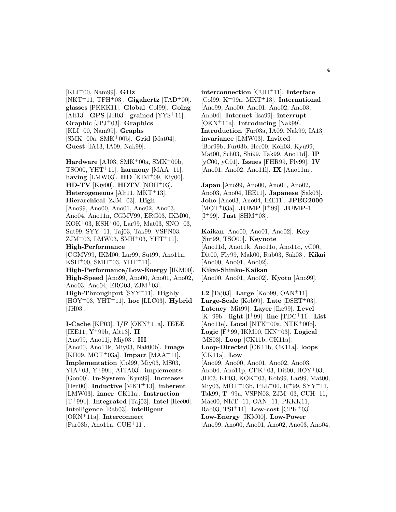[KLI<sup>+</sup>00, Nam99]. **GHz**  $[NKT^+11, TFH^+03]$ . **Gigahertz**  $[TAD^+00]$ . **glasses** [PKKK11]. **Global** [Col99]. **Going** [Alt13]. **GPS** [JH03]. **grained** [YYS<sup>+</sup>11]. **Graphic** [JPJ<sup>+</sup>03]. **Graphics** [KLI<sup>+</sup>00, Nam99]. **Graphs** [SMK<sup>+</sup>00a, SMK<sup>+</sup>00b]. **Grid** [Mat04]. **Guest** [IA13, IA09, Nak99].

**Hardware** [AJ03, SMK<sup>+</sup>00a, SMK<sup>+</sup>00b, TSO00, YHT<sup>+</sup>11]. **harmony** [MAA<sup>+</sup>11]. **having** [LMW03]. **HD** [KIM<sup>+</sup>09, Kiy00]. **HD-TV** [Kiy00]. **HDTV** [NOH<sup>+</sup>03]. **Heterogeneous** [Alt11, MKT<sup>+</sup>13]. **Hierarchical** [ZJM<sup>+</sup>03]. **High** [Ano99, Ano00, Ano01, Ano02, Ano03, Ano04, Ano11n, CGMV99, ERG03, IKM00,  $KOK+03$ ,  $KSH+00$ , Lar99, Mat03, SNO<sup>+</sup>03, Sut99, SYY<sup>+</sup>11, Taj03, Tak99, VSPN03,  $ZJM^{+}03$ , LMW03, SMH<sup>+</sup>03, YHT<sup>+</sup>11]. **High-Performance** [CGMV99, IKM00, Lar99, Sut99, Ano11n,  $KSH<sup>+</sup>00$ ,  $SMH<sup>+</sup>03$ ,  $YHT<sup>+</sup>11$ ]. **High-Performance/Low-Energy** [IKM00]. **High-Speed** [Ano99, Ano00, Ano01, Ano02, Ano $03$ , Ano $04$ , ERG $03$ , ZJM<sup>+</sup> $03$ . **High-Throughput** [SYY<sup>+</sup>11]. **Highly** [HOY<sup>+</sup>03, YHT<sup>+</sup>11]. **hoc** [LLC03]. **Hybrid** [JH03].

**I-Cache** [KP03]. **I/F** [OKN<sup>+</sup>11a]. **IEEE** [IEE11, Y<sup>+</sup>99b, Alt13]. **II** [Ano99, Ano11j, Miy03]. **III** [Ano00, Ano11k, Miy03, Nak00b]. **Image** [KII09, MOT<sup>+</sup>03a]. **Impact** [MAA<sup>+</sup>11]. **Implementation** [Col99, Miy03, MS03, YIA<sup>+</sup>03, Y<sup>+</sup>99b, AITA03]. **implements** [Gon00]. **In-System** [Kyu99]. **Increases** [Hen00]. **Inductive** [MKT<sup>+</sup>13]. **inherent** [LMW03]. **inner** [CK11a]. **Instruction** [T<sup>+</sup>99b]. **Integrated** [Taj03]. **Intel** [Hee00]. **Intelligence** [Rab03]. **intelligent** [OKN<sup>+</sup>11a]. **Interconnect**  $[Func03b, Ano11n, \text{CUH+11}].$ 

**interconnection** [CUH<sup>+</sup>11]. **Interface** [Col99, K<sup>+</sup>99a, MKT<sup>+</sup>13]. **International** [Ano99, Ano00, Ano01, Ano02, Ano03, Ano04]. **Internet** [Isa99]. **interrupt** [OKN<sup>+</sup>11a]. **Introducing** [Nak99]. **Introduction** [Fur03a, IA09, Nak99, IA13]. **invariance** [LMW03]. **Invited** [Bor99b, Fur03b, Hee00, Koh03, Kyu99, Mat00, Sch03, Shi99, Tak99, Ano11d]. **IP** [yC00, yC01]. **Issues** [FHR99, Fly99]. **IV** [Ano01, Ano02, Ano11l]. **IX** [Ano11m].

**Japan** [Ano99, Ano00, Ano01, Ano02, Ano03, Ano04, IEE11]. **Japanese** [Sak03]. **Joho** [Ano03, Ano04, IEE11]. **JPEG2000** [MOT<sup>+</sup>03a]. **JUMP** [I<sup>+</sup>99]. **JUMP-1**  $[I+99]$ . **Just** [SHM<sup>+</sup>03].

**Kaikan** [Ano00, Ano01, Ano02]. **Key** [Sut99, TSO00]. **Keynote** [Ano11d, Ano11k, Ano11o, Ano11q, yC00, Dit00, Fly99, Mak00, Rab03, Sak03]. **Kikai** [Ano00, Ano01, Ano02]. **Kikai-Shinko-Kaikan** [Ano00, Ano01, Ano02]. **Kyoto** [Ano99].

**L2** [Taj03]. **Large** [Kob99, OAN<sup>+</sup>11]. **Large-Scale** [Kob99]. **Late** [DSET<sup>+</sup>03]. **Latency** [Mit99]. **Layer** [Ike99]. **Level** [K<sup>+</sup>99b]. **light** [I<sup>+</sup>99]. **line** [TDC<sup>+</sup>11]. **List** [Ano11e]. **Local** [NTK<sup>+</sup>00a, NTK<sup>+</sup>00b]. **Logic** [F<sup>+</sup>99, IKM00, IKN<sup>+</sup>03]. **Logical** [MS03]. **Loop** [CK11b, CK11a]. **Loop-Directed** [CK11b, CK11a]. **loops** [CK11a]. **Low** [Ano99, Ano00, Ano01, Ano02, Ano03, Ano04, Ano11p, CPK<sup>+</sup>03, Dit00, HOY<sup>+</sup>03, JH03, KP03, KOK<sup>+</sup>03, Kob99, Lar99, Mat00, Miy03, MOT<sup>+</sup>03b, PLL<sup>+</sup>00, R<sup>+</sup>99, SYY<sup>+</sup>11, Tak99, T<sup>+</sup>99a, VSPN03, ZJM<sup>+</sup>03, CUH<sup>+</sup>11, Mac00, NKT<sup>+</sup>11, OAN<sup>+</sup>11, PKKK11, Rab03, TSI<sup>+</sup>11]. **Low-cost** [CPK<sup>+</sup>03]. **Low-Energy** [IKM00]. **Low-Power** [Ano99, Ano00, Ano01, Ano02, Ano03, Ano04,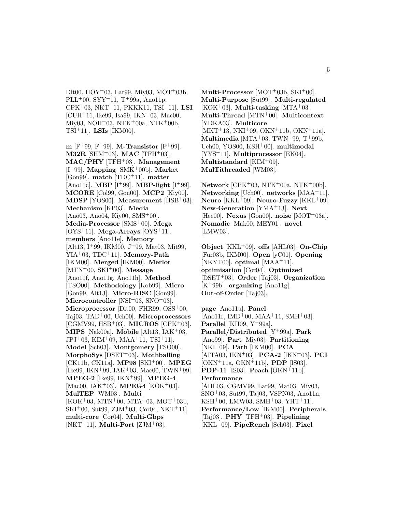Dit00, HOY<sup>+</sup>03, Lar99, Miy03, MOT<sup>+</sup>03b, PLL<sup>+</sup>00, SYY<sup>+</sup>11, T<sup>+</sup>99a, Ano11p, CPK<sup>+</sup>03, NKT<sup>+</sup>11, PKKK11, TSI<sup>+</sup>11]. **LSI**  $[CUH+11, Ike99, Isa99, IKN+03, Mac00,$ Miy03, NOH<sup>+</sup>03, NTK<sup>+</sup>00a, NTK<sup>+</sup>00b, TSI<sup>+</sup>11]. **LSIs** [IKM00].

**m** [F<sup>+</sup>99, F<sup>+</sup>99]. **M-Transistor** [F<sup>+</sup>99]. **M32R** [SHM<sup>+</sup>03]. **MAC** [TFH<sup>+</sup>03]. **MAC/PHY** [TFH<sup>+</sup>03]. **Management** [I<sup>+</sup>99]. **Mapping** [SMK<sup>+</sup>00b]. **Market** [Gon99]. **match** [TDC<sup>+</sup>11]. **matter** [Ano11c]. **MBP** [I<sup>+</sup>99]. **MBP-light** [I<sup>+</sup>99]. **MCORE** [Col99, Gon00]. **MCP2** [Kiy00]. **MDSP** [YOS00]. **Measurement** [HSB<sup>+</sup>03]. **Mechanism** [KP03]. **Media**  $[Ano03, Ano04, Kiy00, SMS^+00].$ **Media-Processor** [SMS<sup>+</sup>00]. **Mega** [OYS<sup>+</sup>11]. **Mega-Arrays** [OYS<sup>+</sup>11]. **members** [Ano11e]. **Memory** [Alt13, I<sup>+</sup>99, IKM00, J<sup>+</sup>99, Mat03, Mit99, YIA<sup>+</sup>03, TDC<sup>+</sup>11]. **Memory-Path** [IKM00]. **Merged** [IKM00]. **Merlot** [MTN<sup>+</sup>00, SKI<sup>+</sup>00]. **Message** [Ano11f, Ano11g, Ano11h]. **Method** [TSO00]. **Methodology** [Kob99]. **Micro** [Gon99, Alt13]. **Micro-RISC** [Gon99]. **Microcontroller** [NSI<sup>+</sup>03, SNO<sup>+</sup>03]. **Microprocessor** [Dit00, FHR99, OSS<sup>+</sup>00, Taj03, TAD<sup>+</sup>00, Uch00]. **Microprocessors** [CGMV99, HSB<sup>+</sup>03]. **MICROS** [CPK<sup>+</sup>03]. **MIPS** [Nak00a]. **Mobile** [Alt13, IAK<sup>+</sup>03,  $JPJ+03$ , KIM+09, MAA+11, TSI+11. **Model** [Sch03]. **Montgomery** [TSO00]. **MorphoSys** [DSET<sup>+</sup>03]. **Mothballing** [CK11b, CK11a]. **MP98** [SKI<sup>+</sup>00]. **MPEG** [Ike99, IKN<sup>+</sup>99, IAK<sup>+</sup>03, Mac00, TWN<sup>+</sup>99]. **MPEG-2** [Ike99, IKN<sup>+</sup>99]. **MPEG-4** [Mac00, IAK<sup>+</sup>03]. **MPEG4** [KOK<sup>+</sup>03]. **MulTEP** [WM03]. **Multi**  $[KOK<sup>+</sup>03, MTN<sup>+</sup>00, MTA<sup>+</sup>03, MOT<sup>+</sup>03b,$  $SKI<sup>+</sup>00$ , Sut99, ZJM<sup>+</sup>03, Cor04, NKT<sup>+</sup>11]. **multi-core** [Cor04]. **Multi-Gbps** [NKT<sup>+</sup>11]. **Multi-Port** [ZJM<sup>+</sup>03].

Multi-Processor [MOT<sup>+</sup>03b, SKI<sup>+</sup>00]. **Multi-Purpose** [Sut99]. **Multi-regulated**  $[KOK^+03]$ . **Multi-tasking**  $[MTA^+03]$ . **Multi-Thread** [MTN<sup>+</sup>00]. **Multicontext** [YDKA03]. **Multicore** [MKT<sup>+</sup>13, NKI<sup>+</sup>09, OKN<sup>+</sup>11b, OKN<sup>+</sup>11a]. **Multimedia** [MTA<sup>+</sup>03, TWN<sup>+</sup>99, T<sup>+</sup>99b, Uch00, YOS00, KSH<sup>+</sup>00]. **multimodal** [YYS<sup>+</sup>11]. **Multiprocessor** [EK04]. **Multistandard** [KIM<sup>+</sup>09]. **MulTithreaded** [WM03].

**Network** [CPK<sup>+</sup>03, NTK<sup>+</sup>00a, NTK<sup>+</sup>00b]. **Networking** [Uch00]. **networks** [MAA<sup>+</sup>11]. Neuro [KKL<sup>+</sup>09]. **Neuro-Fuzzy** [KKL<sup>+</sup>09]. **New-Generation** [YMA<sup>+</sup>13]. **Next** [Hee00]. **Nexus** [Gon00]. **noise** [MOT<sup>+</sup>03a]. **Nomadic** [Mak00, MEY01]. **novel** [LMW03].

**Object** [KKL<sup>+</sup>09]. **offs** [AHL03]. **On-Chip** [Fur03b, IKM00]. **Open** [yC01]. **Opening** [NKYT00]. **optimal** [MAA<sup>+</sup>11]. **optimisation** [Cor04]. **Optimized** [DSET<sup>+</sup>03]. **Order** [Taj03]. **Organization** [K<sup>+</sup>99b]. **organizing** [Ano11g]. **Out-of-Order** [Taj03].

**page** [Ano11u]. **Panel**  $[Ano11r, IMD<sup>+</sup>00, MAA<sup>+</sup>11, SMH<sup>+</sup>03].$ **Parallel** [KII09, Y<sup>+</sup>99a]. **Parallel/Distributed** [Y<sup>+</sup>99a]. **Park** [Ano99]. **Part** [Miy03]. **Partitioning** [NKI<sup>+</sup>09]. **Path** [IKM00]. **PCA** [AITA03, IKN<sup>+</sup>03]. **PCA-2** [IKN<sup>+</sup>03]. **PCI** [OKN<sup>+</sup>11a, OKN<sup>+</sup>11b]. **PDP** [IS03]. **PDP-11** [IS03]. **Peach** [OKN<sup>+</sup>11b]. **Performance** [AHL03, CGMV99, Lar99, Mat03, Miy03, SNO<sup>+</sup>03, Sut99, Taj03, VSPN03, Ano11n,  $KSH<sup>+</sup>00$ , LMW03, SMH<sup>+</sup>03, YHT<sup>+</sup>11]. **Performance/Low** [IKM00]. **Peripherals** [Taj03]. **PHY** [TFH<sup>+</sup>03]. **Pipelining** [KKL<sup>+</sup>09]. **PipeRench** [Sch03]. **Pixel**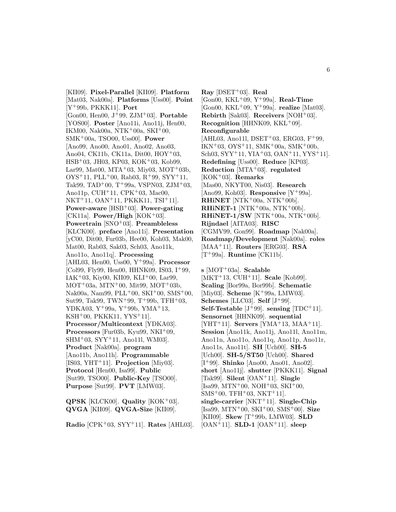[KII09]. **Pixel-Parallel** [KII09]. **Platform** [Mat03, Nak00a]. **Platforms** [Uss00]. **Point** [Y<sup>+</sup>99b, PKKK11]. **Port** [Gon00, Hen00, J<sup>+</sup>99, ZJM<sup>+</sup>03]. **Portable** [YOS00]. **Poster** [Ano11i, Ano11j, Hen00, IKM00, Nak00a, NTK<sup>+</sup>00a, SKI<sup>+</sup>00, SMK<sup>+</sup>00a, TSO00, Uss00]. **Power** [Ano99, Ano00, Ano01, Ano02, Ano03, Ano04, CK11b, CK11a, Dit00, HOY<sup>+</sup>03, HSB<sup>+</sup>03, JH03, KP03, KOK<sup>+</sup>03, Kob99, Lar99, Mat00, MTA+03, Miy03, MOT+03b,  $OYS+11$ , PLL+00, Rab03, R+99, SYY+11, Tak99, TAD<sup>+</sup>00, T<sup>+</sup>99a, VSPN03, ZJM<sup>+</sup>03, Ano11p, CUH<sup>+</sup>11, CPK<sup>+</sup>03, Mac00, NKT<sup>+</sup>11, OAN<sup>+</sup>11, PKKK11, TSI<sup>+</sup>11]. **Power-aware** [HSB<sup>+</sup>03]. **Power-gating** [CK11a]. **Power/High** [KOK<sup>+</sup>03]. **Powertrain** [SNO<sup>+</sup>03]. **Preambleless** [KLCK00]. **preface** [Ano11i]. **Presentation** [yC00, Dit00, Fur03b, Hee00, Koh03, Mak00, Mat00, Rab03, Sak03, Sch03, Ano11k, Ano11o, Ano11q]. **Processing** [AHL03, Hen00, Uss00, Y<sup>+</sup>99a]. **Processor** [Col99, Fly99, Hen00, HHNK09, IS03, I<sup>+</sup>99, IAK<sup>+</sup>03, Kiy00, KII09, KLI<sup>+</sup>00, Lar99,  $MOT<sup>+</sup>03a$ ,  $MTN<sup>+</sup>00$ , Mit99,  $MOT<sup>+</sup>03b$ , Nak00a, Nam99, PLL<sup>+</sup>00, SKI<sup>+</sup>00, SMS<sup>+</sup>00, Sut99, Tak99, TWN+99, T+99b, TFH+03, YDKA03, Y<sup>+</sup>99a, Y<sup>+</sup>99b, YMA<sup>+</sup>13, KSH<sup>+</sup>00, PKKK11, YYS<sup>+</sup>11]. **Processor/Multicontext** [YDKA03]. **Processors** [Fur03b, Kyu99, NKI<sup>+</sup>09, SHM<sup>+</sup>03, SYY<sup>+</sup>11, Ano11l, WM03]. **Product** [Nak00a]. **program** [Ano11b, Ano11h]. **Programmable** [IS03, YHT<sup>+</sup>11]. **Projection** [Miy03]. **Protocol** [Hen00, Isa99]. **Public** [Sut99, TSO00]. **Public-Key** [TSO00]. **Purpose** [Sut99]. **PVT** [LMW03].

**QPSK** [KLCK00]. **Quality** [KOK<sup>+</sup>03]. **QVGA** [KII09]. **QVGA-Size** [KII09].

**Radio** [CPK<sup>+</sup>03, SYY<sup>+</sup>11]. **Rates** [AHL03].

**Ray** [DSET<sup>+</sup>03]. **Real** [Gon00, KKL<sup>+</sup>09, Y<sup>+</sup>99a]. **Real-Time** [Gon00, KKL<sup>+</sup>09, Y<sup>+</sup>99a]. **realize** [Mat03]. **Rebirth** [Sak03]. **Receivers** [NOH+03]. **Recognition** [HHNK09, KKL<sup>+</sup>09]. **Reconfigurable**  $[AHL03, Ano11l, DSET<sup>+</sup>03, ERG03, F<sup>+</sup>99,$ IKN<sup>+</sup>03, OYS<sup>+</sup>11, SMK<sup>+</sup>00a, SMK<sup>+</sup>00b, Sch03, SYY<sup>+</sup>11, YIA<sup>+</sup>03, OAN<sup>+</sup>11, YYS<sup>+</sup>11]. **Redefining** [Uss00]. **Reduce** [KP03]. **Reduction** [MTA<sup>+</sup>03]. **regulated** [KOK<sup>+</sup>03]. **Remarks** [Mas00, NKYT00, Nis03]. **Research**  $[Ano99, Koh03]$ . **Responsive**  $[Y+99a]$ . **RHINET** [NTK<sup>+</sup>00a, NTK<sup>+</sup>00b]. **RHINET-1** [NTK<sup>+</sup>00a, NTK<sup>+</sup>00b]. **RHINET-1/SW** [NTK<sup>+</sup>00a, NTK<sup>+</sup>00b]. **Rijndael** [AITA03]. **RISC** [CGMV99, Gon99]. **Roadmap** [Nak00a]. **Roadmap/Development** [Nak00a]. **roles** [MAA<sup>+</sup>11]. **Routers** [ERG03]. **RSA** [T<sup>+</sup>99a]. **Runtime** [CK11b].

**s** [MOT<sup>+</sup>03a]. **Scalable** [MKT<sup>+</sup>13, CUH<sup>+</sup>11]. **Scale** [Kob99]. **Scaling** [Bor99a, Bor99b]. **Schematic** [Miy03]. **Scheme** [K<sup>+</sup>99a, LMW03]. **Schemes** [LLC03]. **Self** [J<sup>+</sup>99]. **Self-Testable** [J<sup>+</sup>99]. **sensing** [TDC<sup>+</sup>11]. **Sensornet** [HHNK09]. **sequential** [YHT<sup>+</sup>11]. **Servers** [YMA<sup>+</sup>13, MAA<sup>+</sup>11]. **Session** [Ano11k, Ano11j, Ano11l, Ano11m, Ano11n, Ano11o, Ano11q, Ano11p, Ano11r, Ano11s, Ano11t]. **SH** [Uch00]. **SH-5** [Uch00]. **SH-5/ST50** [Uch00]. **Shared** [I<sup>+</sup>99]. **Shinko** [Ano00, Ano01, Ano02]. **short** [Ano11j]. **shutter** [PKKK11]. **Signal** [Tak99]. **Silent** [OAN<sup>+</sup>11]. **Single**  $[Isa99, MTN<sup>+</sup>00, NOH<sup>+</sup>03, SKI<sup>+</sup>00,$  $SMS<sup>+</sup>00$ , TFH<sup>+</sup>03, NKT<sup>+</sup>11]. **single-carrier** [NKT<sup>+</sup>11]. **Single-Chip** [Isa99, MTN<sup>+</sup>00, SKI<sup>+</sup>00, SMS<sup>+</sup>00]. **Size** [KII09]. **Skew** [T<sup>+</sup>99b, LMW03]. **SLD** [OAN<sup>+</sup>11]. **SLD-1** [OAN<sup>+</sup>11]. **sleep**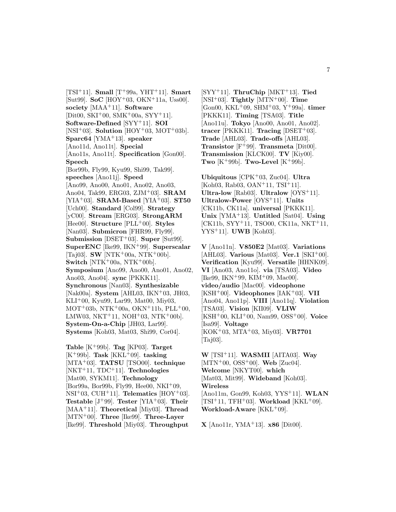[TSI<sup>+</sup>11]. **Small** [T<sup>+</sup>99a, YHT<sup>+</sup>11]. **Smart** [Sut99]. **SoC** [HOY<sup>+</sup>03, OKN<sup>+</sup>11a, Uss00]. **society** [MAA<sup>+</sup>11]. **Software**  $[Dit00, SKI<sup>+</sup>00, SMK<sup>+</sup>00a, SYY<sup>+</sup>11].$ **Software-Defined** [SYY<sup>+</sup>11]. **SOI** [NSI<sup>+</sup>03]. **Solution** [HOY<sup>+</sup>03, MOT<sup>+</sup>03b]. **Sparc64** [YMA<sup>+</sup>13]. **speaker** [Ano11d, Ano11t]. **Special** [Ano11s, Ano11t]. **Specification** [Gon00]. **Speech** [Bor99b, Fly99, Kyu99, Shi99, Tak99]. **speeches** [Ano11j]. **Speed** [Ano99, Ano00, Ano01, Ano02, Ano03, Ano04, Tak99, ERG03, ZJM<sup>+</sup>03]. **SRAM** [YIA<sup>+</sup>03]. **SRAM-Based** [YIA<sup>+</sup>03]. **ST50** [Uch00]. **Standard** [Col99]. **Strategy** [yC00]. **Stream** [ERG03]. **StrongARM** [Hee00]. **Structure** [PLL<sup>+</sup>00]. **Styles** [Nan03]. **Submicron** [FHR99, Fly99]. **Submission** [DSET<sup>+</sup>03]. **Super** [Sut99]. **SuperENC** [Ike99, IKN<sup>+</sup>99]. **Superscalar** [Taj03]. **SW** [NTK<sup>+</sup>00a, NTK<sup>+</sup>00b]. **Switch** [NTK<sup>+</sup>00a, NTK<sup>+</sup>00b]. **Symposium** [Ano99, Ano00, Ano01, Ano02, Ano03, Ano04]. **sync** [PKKK11]. **Synchronous** [Nan03]. **Synthesizable** [Nak00a]. **System** [AHL03, IKN<sup>+</sup>03, JH03, KLI<sup>+</sup>00, Kyu99, Lar99, Mat00, Miy03,  $MOT<sup>+</sup>03b$ , NTK<sup>+</sup>00a, OKN<sup>+</sup>11b, PLL<sup>+</sup>00, LMW03, NKT<sup>+</sup>11, NOH<sup>+</sup>03, NTK<sup>+</sup>00b]. **System-On-a-Chip** [JH03, Lar99]. **Systems** [Koh03, Mat03, Shi99, Cor04].

**Table** [K<sup>+</sup>99b]. **Tag** [KP03]. **Target** [K<sup>+</sup>99b]. **Task** [KKL<sup>+</sup>09]. **tasking** [MTA<sup>+</sup>03]. **TATSU** [TSO00]. **technique** [NKT<sup>+</sup>11, TDC<sup>+</sup>11]. **Technologies** [Mat00, SYKM11]. **Technology** [Bor99a, Bor99b, Fly99, Hee00, NKI<sup>+</sup>09, NSI<sup>+</sup>03, CUH<sup>+</sup>11]. **Telematics** [HOY<sup>+</sup>03]. **Testable** [J<sup>+</sup>99]. **Tester** [YIA<sup>+</sup>03]. **Their** [MAA<sup>+</sup>11]. **Theoretical** [Miy03]. **Thread** [MTN<sup>+</sup>00]. **Three** [Ike99]. **Three-Layer** [Ike99]. **Threshold** [Miy03]. **Throughput**

[SYY<sup>+</sup>11]. **ThruChip** [MKT<sup>+</sup>13]. **Tied** [NSI<sup>+</sup>03]. **Tightly** [MTN<sup>+</sup>00]. **Time** [Gon00, KKL<sup>+</sup>09, SHM<sup>+</sup>03, Y<sup>+</sup>99a]. **timer** [PKKK11]. **Timing** [TSA03]. **Title** [Ano11u]. **Tokyo** [Ano00, Ano01, Ano02]. **tracer** [PKKK11]. **Tracing** [DSET<sup>+</sup>03]. **Trade** [AHL03]. **Trade-offs** [AHL03]. **Transistor** [F<sup>+</sup>99]. **Transmeta** [Dit00]. **Transmission** [KLCK00]. **TV** [Kiy00]. **Two** [ $K^+99b$ ]. **Two-Level** [ $K^+99b$ ].

**Ubiquitous** [CPK<sup>+</sup>03, Zuc04]. **Ultra** [Koh03, Rab03, OAN<sup>+</sup>11, TSI<sup>+</sup>11]. **Ultra-low** [Rab03]. **Ultralow** [OYS<sup>+</sup>11]. **Ultralow-Power** [OYS<sup>+</sup>11]. **Units** [CK11b, CK11a]. **universal** [PKKK11]. **Unix** [YMA<sup>+</sup>13]. **Untitled** [Sat04]. **Using** [CK11b, SYY<sup>+</sup>11, TSO00, CK11a, NKT<sup>+</sup>11, YYS<sup>+</sup>11]. **UWB** [Koh03].

**V** [Ano11n]. **V850E2** [Mat03]. **Variations** [AHL03]. **Various** [Mat03]. **Ver.1** [SKI<sup>+</sup>00]. **Verification** [Kyu99]. **Versatile** [HHNK09]. **VI** [Ano03, Ano11o]. **via** [TSA03]. **Video** [Ike99, IKN<sup>+</sup>99, KIM<sup>+</sup>09, Mac00]. **video/audio** [Mac00]. **videophone** [KSH<sup>+</sup>00]. **Videophones** [IAK<sup>+</sup>03]. **VII** [Ano04, Ano11p]. **VIII** [Ano11q]. **Violation** [TSA03]. **Vision** [KII09]. **VLIW** [KSH<sup>+</sup>00, KLI<sup>+</sup>00, Nam99, OSS<sup>+</sup>00]. **Voice** [Isa99]. **Voltage** [KOK<sup>+</sup>03, MTA<sup>+</sup>03, Miy03]. **VR7701** [Taj03].

**W** [TSI<sup>+</sup>11]. **WASMII** [AITA03]. **Way** [MTN<sup>+</sup>00, OSS<sup>+</sup>00]. **Web** [Zuc04]. **Welcome** [NKYT00]. **which** [Mat03, Mit99]. **Wideband** [Koh03]. **Wireless** [Ano11m, Gon99, Koh03, YYS<sup>+</sup>11]. **WLAN**  $[TSI<sup>+</sup>11, TFH<sup>+</sup>03]$ . **Workload**  $[KKL<sup>+</sup>09]$ . **Workload-Aware** [KKL<sup>+</sup>09].

**X** [Ano11r, YMA<sup>+</sup>13]. **x86** [Dit00].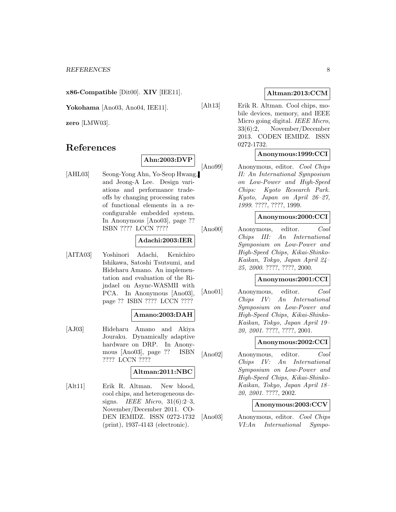**x86-Compatible** [Dit00]. **XIV** [IEE11].

**Yokohama** [Ano03, Ano04, IEE11].

**zero** [LMW03].

# **References**

**Ahn:2003:DVP**

[AHL03] Seong-Yong Ahn, Yo-Seop Hwang, and Jeong-A Lee. Design variations and performance tradeoffs by changing processing rates of functional elements in a reconfigurable embedded system. In Anonymous [Ano03], page ?? ISBN ???? LCCN ????

# **Adachi:2003:IER**

[AITA03] Yoshinori Adachi, Kenichiro Ishikawa, Satoshi Tsutsumi, and Hideharu Amano. An implementation and evaluation of the Rijndael on Async-WASMII with PCA. In Anonymous [Ano03], page ?? ISBN ???? LCCN ????

## **Amano:2003:DAH**

[AJ03] Hideharu Amano and Akiya Jouraku. Dynamically adaptive hardware on DRP. In Anonymous [Ano03], page ?? ISBN ???? LCCN ????

## **Altman:2011:NBC**

[Alt11] Erik R. Altman. New blood, cool chips, and heterogeneous designs. IEEE Micro, 31(6):2–3, November/December 2011. CO-DEN IEMIDZ. ISSN 0272-1732 (print), 1937-4143 (electronic).

# **Altman:2013:CCM**

[Alt13] Erik R. Altman. Cool chips, mobile devices, memory, and IEEE Micro going digital. IEEE Micro, 33(6):2, November/December 2013. CODEN IEMIDZ. ISSN 0272-1732.

## **Anonymous:1999:CCI**

[Ano99] Anonymous, editor. Cool Chips II: An International Symposium on Low-Power and High-Speed Chips: Kyoto Research Park. Kyoto, Japan on April 26–27, 1999. ????, ????, 1999.

## **Anonymous:2000:CCI**

[Ano00] Anonymous, editor. Cool Chips III: An International Symposium on Low-Power and High-Speed Chips, Kikai-Shinko-Kaikan, Tokyo, Japan April 24– 25, 2000. ????, ????, 2000.

## **Anonymous:2001:CCI**

[Ano01] Anonymous, editor. Cool Chips IV: An International Symposium on Low-Power and High-Speed Chips, Kikai-Shinko-Kaikan, Tokyo, Japan April 19– 20, 2001. ????, ????, 2001.

## **Anonymous:2002:CCI**

[Ano02] Anonymous, editor. Cool Chips IV: An International Symposium on Low-Power and High-Speed Chips, Kikai-Shinko-Kaikan, Tokyo, Japan April 18– 20, 2001. ????, 2002.

## **Anonymous:2003:CCV**

[Ano03] Anonymous, editor. Cool Chips VI:An International Sympo-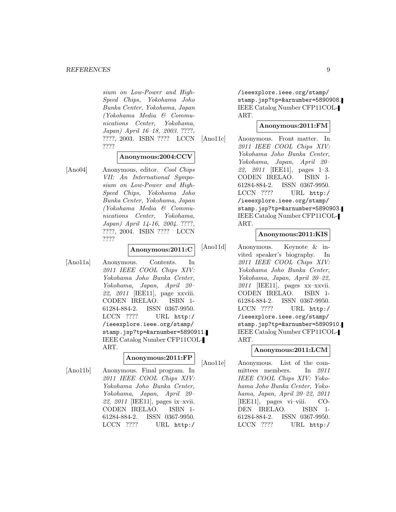sium on Low-Power and High-Speed Chips, Yokohama Joho Bunka Center, Yokohama, Japan (Yokohama Media & Communications Center, Yokohama, Japan) April 16–18, 2003. ????, ????, 2003. ISBN ???? LCCN ????

## **Anonymous:2004:CCV**

[Ano04] Anonymous, editor. Cool Chips VII: An International Symposium on Low-Power and High-Speed Chips, Yokohama Joho Bunka Center, Yokohama, Japan (Yokohama Media & Communications Center, Yokohama, Japan) April 14-16, 2004. ????, ????, 2004. ISBN ???? LCCN ????

## **Anonymous:2011:C**

[Ano11a] Anonymous. Contents. In 2011 IEEE COOL Chips XIV: Yokohama Joho Bunka Center, Yokohama, Japan, April 20– 22, 2011 [IEE11], page xxviii. CODEN IRELAO. ISBN 1- 61284-884-2. ISSN 0367-9950. LCCN ???? URL http:/ /ieeexplore.ieee.org/stamp/ stamp.jsp?tp=&arnumber=5890911. IEEE Catalog Number CFP11COL-ART.

### **Anonymous:2011:FP**

[Ano11b] Anonymous. Final program. In 2011 IEEE COOL Chips XIV: Yokohama Joho Bunka Center, Yokohama, Japan, April 20– 22, 2011 [IEE11], pages ix–xvii. CODEN IRELAO. ISBN 1- 61284-884-2. ISSN 0367-9950. LCCN ???? URL http:/

/ieeexplore.ieee.org/stamp/ stamp.jsp?tp=&arnumber=5890908. IEEE Catalog Number CFP11COL-ART.

## **Anonymous:2011:FM**

[Ano11c] Anonymous. Front matter. In 2011 IEEE COOL Chips XIV: Yokohama Joho Bunka Center, Yokohama, Japan, April 20– 22, 2011 [IEE11], pages 1–3. CODEN IRELAO. ISBN 1- 61284-884-2. ISSN 0367-9950. LCCN ???? URL http:/ /ieeexplore.ieee.org/stamp/ stamp.jsp?tp=&arnumber=5890903. IEEE Catalog Number CFP11COL-ART.

## **Anonymous:2011:KIS**

[Ano11d] Anonymous. Keynote & invited speaker's biography. In 2011 IEEE COOL Chips XIV: Yokohama Joho Bunka Center, Yokohama, Japan, April 20–22,  $2011$  [IEE11], pages xx-xxvii. CODEN IRELAO. ISBN 1- 61284-884-2. ISSN 0367-9950. LCCN ???? URL http:/ /ieeexplore.ieee.org/stamp/ stamp.jsp?tp=&arnumber=5890910. IEEE Catalog Number CFP11COL-ART.

### **Anonymous:2011:LCM**

[Ano11e] Anonymous. List of the committees members. In 2011 IEEE COOL Chips XIV: Yokohama Joho Bunka Center, Yokohama, Japan, April 20–22, 2011 [IEE11], pages vi–viii. CO-DEN IRELAO. ISBN 1- 61284-884-2. ISSN 0367-9950. LCCN ???? URL http:/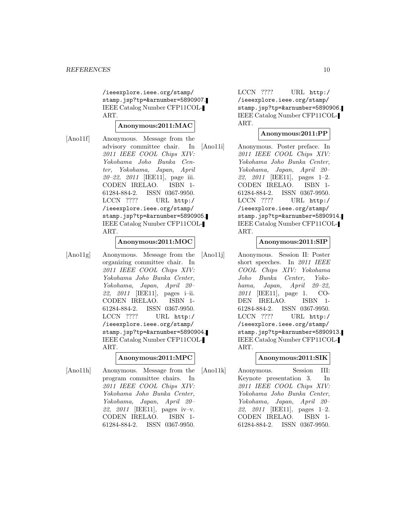/ieeexplore.ieee.org/stamp/ stamp.jsp?tp=&arnumber=5890907. IEEE Catalog Number CFP11COL-ART.

#### **Anonymous:2011:MAC**

[Ano11f] Anonymous. Message from the advisory committee chair. In 2011 IEEE COOL Chips XIV: Yokohama Joho Bunka Center, Yokohama, Japan, April 20–22, 2011 [IEE11], page iii. CODEN IRELAO. ISBN 1- 61284-884-2. ISSN 0367-9950. LCCN ???? URL http:/ /ieeexplore.ieee.org/stamp/ stamp.jsp?tp=&arnumber=5890905. IEEE Catalog Number CFP11COL-ART.

#### **Anonymous:2011:MOC**

[Ano11g] Anonymous. Message from the organizing committee chair. In 2011 IEEE COOL Chips XIV: Yokohama Joho Bunka Center, Yokohama, Japan, April 20– 22, 2011 [IEE11], pages i–ii. CODEN IRELAO. ISBN 1- 61284-884-2. ISSN 0367-9950. LCCN ???? URL http:/ /ieeexplore.ieee.org/stamp/ stamp.jsp?tp=&arnumber=5890904. IEEE Catalog Number CFP11COL-ART.

#### **Anonymous:2011:MPC**

[Ano11h] Anonymous. Message from the program committee chairs. In 2011 IEEE COOL Chips XIV: Yokohama Joho Bunka Center, Yokohama, Japan, April 20– 22, 2011 [IEE11], pages iv-v. CODEN IRELAO. ISBN 1- 61284-884-2. ISSN 0367-9950.

LCCN ???? URL http:/ /ieeexplore.ieee.org/stamp/ stamp.jsp?tp=&arnumber=5890906. IEEE Catalog Number CFP11COL-ART.

### **Anonymous:2011:PP**

[Ano11i] Anonymous. Poster preface. In 2011 IEEE COOL Chips XIV: Yokohama Joho Bunka Center, Yokohama, Japan, April 20– 22, 2011 [IEE11], pages 1–2. CODEN IRELAO. ISBN 1- 61284-884-2. ISSN 0367-9950. LCCN ???? URL http:/ /ieeexplore.ieee.org/stamp/ stamp.jsp?tp=&arnumber=5890914. IEEE Catalog Number CFP11COL-ART.

#### **Anonymous:2011:SIP**

[Ano11j] Anonymous. Session II: Poster short speeches. In 2011 IEEE COOL Chips XIV: Yokohama Joho Bunka Center, Yokohama, Japan, April 20–22, 2011 [IEE11], page 1. CO-DEN IRELAO. ISBN 1- 61284-884-2. ISSN 0367-9950. LCCN ???? URL http:/ /ieeexplore.ieee.org/stamp/ stamp.jsp?tp=&arnumber=5890913. IEEE Catalog Number CFP11COL-ART.

#### **Anonymous:2011:SIK**

[Ano11k] Anonymous. Session III: Keynote presentation 3. In 2011 IEEE COOL Chips XIV: Yokohama Joho Bunka Center, Yokohama, Japan, April 20– 22, 2011 [IEE11], pages 1–2. CODEN IRELAO. ISBN 1- 61284-884-2. ISSN 0367-9950.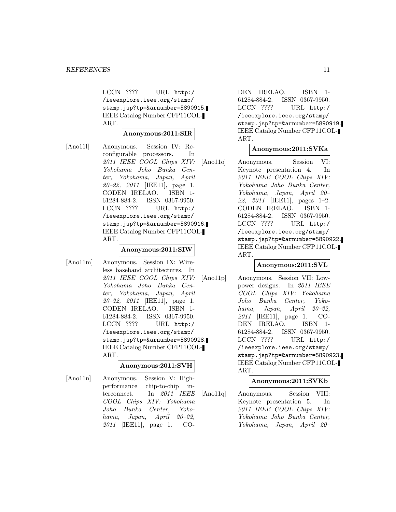LCCN ???? URL http:/ /ieeexplore.ieee.org/stamp/ stamp.jsp?tp=&arnumber=5890915. IEEE Catalog Number CFP11COL-ART.

### **Anonymous:2011:SIR**

[Ano11l] Anonymous. Session IV: Reconfigurable processors. In 2011 IEEE COOL Chips XIV: Yokohama Joho Bunka Center, Yokohama, Japan, April 20–22, 2011 [IEE11], page 1. CODEN IRELAO. ISBN 1- 61284-884-2. ISSN 0367-9950. LCCN ???? URL http:/ /ieeexplore.ieee.org/stamp/ stamp.jsp?tp=&arnumber=5890916. IEEE Catalog Number CFP11COL-ART.

### **Anonymous:2011:SIW**

[Ano11m] Anonymous. Session IX: Wireless baseband architectures. In 2011 IEEE COOL Chips XIV: Yokohama Joho Bunka Center, Yokohama, Japan, April 20–22, 2011 [IEE11], page 1. CODEN IRELAO. ISBN 1- 61284-884-2. ISSN 0367-9950. LCCN ???? URL http:/ /ieeexplore.ieee.org/stamp/ stamp.jsp?tp=&arnumber=5890928. IEEE Catalog Number CFP11COL-ART.

### **Anonymous:2011:SVH**

[Ano11n] Anonymous. Session V: Highperformance chip-to-chip interconnect. In 2011 IEEE COOL Chips XIV: Yokohama Joho Bunka Center, Yokohama, Japan, April 20–22, 2011 [IEE11], page 1. CO-

DEN IRELAO. ISBN 1- 61284-884-2. ISSN 0367-9950. LCCN ???? URL http:/ /ieeexplore.ieee.org/stamp/ stamp.jsp?tp=&arnumber=5890919. IEEE Catalog Number CFP11COL-ART.

## **Anonymous:2011:SVKa**

[Ano11o] Anonymous. Session VI: Keynote presentation 4. In 2011 IEEE COOL Chips XIV: Yokohama Joho Bunka Center, Yokohama, Japan, April 20– 22, 2011 [IEE11], pages 1–2. CODEN IRELAO. ISBN 1- 61284-884-2. ISSN 0367-9950. LCCN ???? URL http:/ /ieeexplore.ieee.org/stamp/ stamp.jsp?tp=&arnumber=5890922. IEEE Catalog Number CFP11COL-ART.

### **Anonymous:2011:SVL**

[Ano11p] Anonymous. Session VII: Lowpower designs. In 2011 IEEE COOL Chips XIV: Yokohama Joho Bunka Center, Yokohama, Japan, April 20–22, 2011 [IEE11], page 1. CO-DEN IRELAO. ISBN 1- 61284-884-2. ISSN 0367-9950. LCCN ???? URL http:/ /ieeexplore.ieee.org/stamp/ stamp.jsp?tp=&arnumber=5890923. IEEE Catalog Number CFP11COL-ART.

### **Anonymous:2011:SVKb**

[Ano11q] Anonymous. Session VIII: Keynote presentation 5. In 2011 IEEE COOL Chips XIV: Yokohama Joho Bunka Center, Yokohama, Japan, April 20–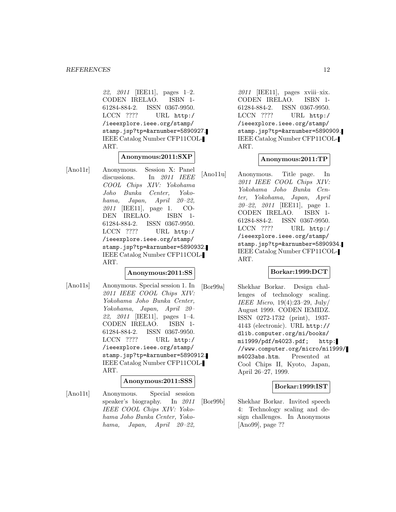22, 2011 [IEE11], pages  $1-2$ . CODEN IRELAO. ISBN 1- 61284-884-2. ISSN 0367-9950. LCCN ???? URL http:/ /ieeexplore.ieee.org/stamp/ stamp.jsp?tp=&arnumber=5890927. IEEE Catalog Number CFP11COL-ART.

## **Anonymous:2011:SXP**

[Ano11r] Anonymous. Session X: Panel discussions. In 2011 IEEE COOL Chips XIV: Yokohama Joho Bunka Center, Yokohama, Japan, April 20–22, 2011 [IEE11], page 1. CO-DEN IRELAO. ISBN 1- 61284-884-2. ISSN 0367-9950. LCCN ???? URL http:/ /ieeexplore.ieee.org/stamp/ stamp.jsp?tp=&arnumber=5890932. IEEE Catalog Number CFP11COL-ART.

#### **Anonymous:2011:SS**

[Ano11s] Anonymous. Special session 1. In 2011 IEEE COOL Chips XIV: Yokohama Joho Bunka Center, Yokohama, Japan, April 20– 22, 2011 [IEE11], pages 1–4. CODEN IRELAO. ISBN 1- 61284-884-2. ISSN 0367-9950. LCCN ???? URL http:/ /ieeexplore.ieee.org/stamp/ stamp.jsp?tp=&arnumber=5890912. IEEE Catalog Number CFP11COL-ART.

### **Anonymous:2011:SSS**

[Ano11t] Anonymous. Special session speaker's biography. In 2011 IEEE COOL Chips XIV: Yokohama Joho Bunka Center, Yokohama, Japan, April 20–22,

 $2011$  [IEE11], pages xviii-xix. CODEN IRELAO. ISBN 1- 61284-884-2. ISSN 0367-9950. LCCN ???? URL http:/ /ieeexplore.ieee.org/stamp/ stamp.jsp?tp=&arnumber=5890909. IEEE Catalog Number CFP11COL-ART.

### **Anonymous:2011:TP**

[Ano11u] Anonymous. Title page. In 2011 IEEE COOL Chips XIV: Yokohama Joho Bunka Center, Yokohama, Japan, April 20–22, 2011 [IEE11], page 1. CODEN IRELAO. ISBN 1- 61284-884-2. ISSN 0367-9950. LCCN ???? URL http:/ /ieeexplore.ieee.org/stamp/ stamp.jsp?tp=&arnumber=5890934. IEEE Catalog Number CFP11COL-ART.

### **Borkar:1999:DCT**

[Bor99a] Shekhar Borkar. Design challenges of technology scaling. IEEE Micro, 19(4):23–29, July/ August 1999. CODEN IEMIDZ. ISSN 0272-1732 (print), 1937- 4143 (electronic). URL http:// dlib.computer.org/mi/books/ mi1999/pdf/m4023.pdf; http: //www.computer.org/micro/mi1999/ m4023abs.htm. Presented at Cool Chips II, Kyoto, Japan, April 26–27, 1999.

### **Borkar:1999:IST**

[Bor99b] Shekhar Borkar. Invited speech 4: Technology scaling and design challenges. In Anonymous [Ano99], page ??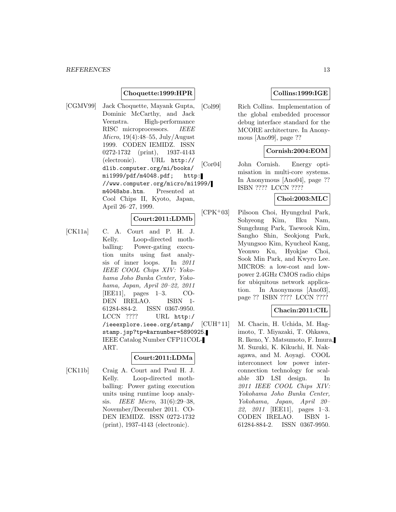## **Choquette:1999:HPR**

[CGMV99] Jack Choquette, Mayank Gupta, Dominic McCarthy, and Jack Veenstra. High-performance RISC microprocessors. *IEEE* Micro,  $19(4):48-55$ , July/August 1999. CODEN IEMIDZ. ISSN 0272-1732 (print), 1937-4143 (electronic). URL http:// dlib.computer.org/mi/books/ mi1999/pdf/m4048.pdf; http: //www.computer.org/micro/mi1999/ m4048abs.htm. Presented at Cool Chips II, Kyoto, Japan, April 26–27, 1999.

### **Court:2011:LDMb**

[CK11a] C. A. Court and P. H. J. Kelly. Loop-directed mothballing: Power-gating execution units using fast analysis of inner loops. In 2011 IEEE COOL Chips XIV: Yokohama Joho Bunka Center, Yokohama, Japan, April 20–22, 2011 [IEE11], pages  $1-3$ . CO-DEN IRELAO. ISBN 1- 61284-884-2. ISSN 0367-9950. LCCN ???? URL http:/ /ieeexplore.ieee.org/stamp/ stamp.jsp?tp=&arnumber=5890925. IEEE Catalog Number CFP11COL-ART.

### **Court:2011:LDMa**

[CK11b] Craig A. Court and Paul H. J. Kelly. Loop-directed mothballing: Power gating execution units using runtime loop analysis. IEEE Micro, 31(6):29–38, November/December 2011. CO-DEN IEMIDZ. ISSN 0272-1732 (print), 1937-4143 (electronic).

## **Collins:1999:IGE**

[Col99] Rich Collins. Implementation of the global embedded processor debug interface standard for the MCORE architecture. In Anonymous [Ano99], page ??

## **Cornish:2004:EOM**

[Cor04] John Cornish. Energy optimisation in multi-core systems. In Anonymous [Ano04], page ?? ISBN ???? LCCN ????

## **Choi:2003:MLC**

[CPK<sup>+</sup>03] Pilsoon Choi, Hyungchul Park, Sohyeong Kim, Ilku Nam, Sungchung Park, Taewook Kim, Sangho Shin, Seokjong Park, Myungsoo Kim, Kyucheol Kang, Yeonwo Ku, Hyokjae Choi, Sook Min Park, and Kwyro Lee. MICROS: a low-cost and lowpower 2.4GHz CMOS radio chips for ubiquitous network application. In Anonymous [Ano03], page ?? ISBN ???? LCCN ????

## **Chacin:2011:CIL**

[CUH<sup>+</sup>11] M. Chacin, H. Uchida, M. Hagimoto, T. Miyazaki, T. Ohkawa, R. Ikeno, Y. Matsumoto, F. Imura, M. Suzuki, K. Kikuchi, H. Nakagawa, and M. Aoyagi. COOL interconnect low power interconnection technology for scalable 3D LSI design. In 2011 IEEE COOL Chips XIV: Yokohama Joho Bunka Center, Yokohama, Japan, April 20– 22, 2011 [IEE11], pages 1–3. CODEN IRELAO. ISBN 1- 61284-884-2. ISSN 0367-9950.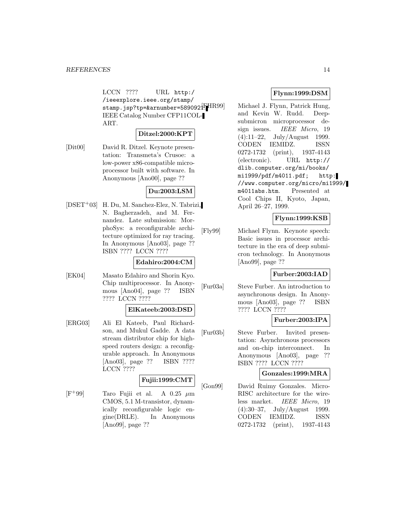LCCN ???? URL http:/ /ieeexplore.ieee.org/stamp/ stamp.jsp?tp=&arnumber=589092[FHR99] IEEE Catalog Number CFP11COL-ART.

### **Ditzel:2000:KPT**

[Dit00] David R. Ditzel. Keynote presentation: Transmeta's Crusoe: a low-power x86-compatible microprocessor built with software. In Anonymous [Ano00], page ??

## **Du:2003:LSM**

[DSET<sup>+</sup>03] H. Du, M. Sanchez-Elez, N. Tabrizi, N. Bagherzadeh, and M. Fernandez. Late submission: MorphoSys: a reconfigurable architecture optimized for ray tracing. In Anonymous [Ano03], page ?? ISBN ???? LCCN ????

### **Edahiro:2004:CM**

[EK04] Masato Edahiro and Shorin Kyo. Chip multiprocessor. In Anonymous [Ano04], page ?? ISBN ???? LCCN ????

## **ElKateeb:2003:DSD**

[ERG03] Ali El Kateeb, Paul Richardson, and Mukul Gadde. A data stream distributor chip for highspeed routers design: a reconfigurable approach. In Anonymous [Ano03], page ?? ISBN ???? LCCN ????

### **Fujii:1999:CMT**

 $[F+99]$  Taro Fujii et al. A 0.25  $\mu$ m CMOS, 5.1 M-transistor, dynamically reconfigurable logic engine(DRLE). In Anonymous [Ano99], page ??

## **Flynn:1999:DSM**

Michael J. Flynn, Patrick Hung, and Kevin W. Rudd. Deepsubmicron microprocessor design issues. IEEE Micro, 19 (4):11–22, July/August 1999. CODEN IEMIDZ. ISSN 0272-1732 (print), 1937-4143 (electronic). URL http:// dlib.computer.org/mi/books/ mi1999/pdf/m4011.pdf; http: //www.computer.org/micro/mi1999/ m4011abs.htm. Presented at Cool Chips II, Kyoto, Japan, April 26–27, 1999.

### **Flynn:1999:KSB**

[Fly99] Michael Flynn. Keynote speech: Basic issues in processor architecture in the era of deep submicron technology. In Anonymous [Ano99], page ??

### **Furber:2003:IAD**

[Fur03a] Steve Furber. An introduction to asynchronous design. In Anonymous [Ano03], page ?? ISBN ???? LCCN ????

## **Furber:2003:IPA**

[Fur03b] Steve Furber. Invited presentation: Asynchronous processors and on-chip interconnect. In Anonymous [Ano03], page ?? ISBN ???? LCCN ????

### **Gonzales:1999:MRA**

[Gon99] David Ruimy Gonzales. Micro-RISC architecture for the wireless market. IEEE Micro, 19 (4):30–37, July/August 1999. CODEN IEMIDZ. ISSN 0272-1732 (print), 1937-4143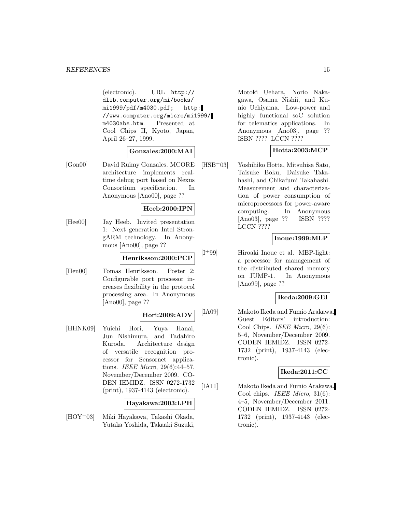(electronic). URL http:// dlib.computer.org/mi/books/ mi1999/pdf/m4030.pdf; http: //www.computer.org/micro/mi1999/ m4030abs.htm. Presented at Cool Chips II, Kyoto, Japan, April 26–27, 1999.

### **Gonzales:2000:MAI**

[Gon00] David Ruimy Gonzales. MCORE architecture implements realtime debug port based on Nexus Consortium specification. In Anonymous [Ano00], page ??

## **Heeb:2000:IPN**

[Hee00] Jay Heeb. Invited presentation 1: Next generation Intel StrongARM technology. In Anonymous [Ano00], page ??

### **Henriksson:2000:PCP**

[Hen00] Tomas Henriksson. Poster 2: Configurable port processor increases flexibility in the protocol processing area. In Anonymous [Ano00], page ??

## **Hori:2009:ADV**

[HHNK09] Yuichi Hori, Yuya Hanai, Jun Nishimura, and Tadahiro Kuroda. Architecture design of versatile recognition processor for Sensornet applications. IEEE Micro, 29(6):44–57, November/December 2009. CO-DEN IEMIDZ. ISSN 0272-1732 (print), 1937-4143 (electronic).

### **Hayakawa:2003:LPH**

[HOY<sup>+</sup>03] Miki Hayakawa, Takashi Okada, Yutaka Yoshida, Takaaki Suzuki, Motoki Uehara, Norio Nakagawa, Osamu Nishii, and Kunio Uchiyama. Low-power and highly functional soC solution for telematics applications. In Anonymous [Ano03], page ?? ISBN ???? LCCN ????

## **Hotta:2003:MCP**

[HSB<sup>+</sup>03] Yoshihiko Hotta, Mitsuhisa Sato, Taisuke Boku, Daisuke Takahashi, and Chikafumi Takahashi. Measurement and characterization of power consumption of microprocessors for power-aware computing. In Anonymous [Ano03], page ?? ISBN ???? LCCN ????

### **Inoue:1999:MLP**

[I<sup>+</sup>99] Hiroaki Inoue et al. MBP-light: a processor for management of the distributed shared memory on JUMP-1. In Anonymous [Ano99], page ??

### **Ikeda:2009:GEI**

[IA09] Makoto Ikeda and Fumio Arakawa. Guest Editors' introduction: Cool Chips. IEEE Micro, 29(6): 5–6, November/December 2009. CODEN IEMIDZ. ISSN 0272- 1732 (print), 1937-4143 (electronic).

#### **Ikeda:2011:CC**

[IA11] Makoto Ikeda and Fumio Arakawa. Cool chips. IEEE Micro, 31(6): 4–5, November/December 2011. CODEN IEMIDZ. ISSN 0272- 1732 (print), 1937-4143 (electronic).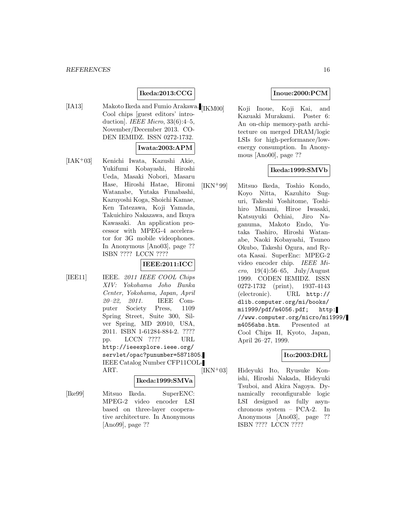# **Ikeda:2013:CCG**

[IA13] Makoto Ikeda and Fumio Arakawa. Cool chips [guest editors' introduction]. IEEE Micro, 33(6):4–5, November/December 2013. CO-DEN IEMIDZ. ISSN 0272-1732.

## **Iwata:2003:APM**

[IAK<sup>+</sup>03] Kenichi Iwata, Kazushi Akie, Yukifumi Kobayashi, Hiroshi Ueda, Masaki Nobori, Masaru Hase, Hiroshi Hatae, Hiromi Watanabe, Yutaka Funabashi, Kazuyoshi Koga, Shoichi Kamae, Ken Tatezawa, Koji Yamada, Takuichiro Nakazawa, and Ikuya Kawasaki. An application processor with MPEG-4 accelerator for 3G mobile videophones. In Anonymous [Ano03], page ?? ISBN ???? LCCN ????

## **IEEE:2011:ICC**

[IEE11] IEEE. 2011 IEEE COOL Chips XIV: Yokohama Joho Bunka Center, Yokohama, Japan, April 20–22, 2011. IEEE Computer Society Press, 1109 Spring Street, Suite 300, Silver Spring, MD 20910, USA, 2011. ISBN 1-61284-884-2. ???? pp. LCCN ???? URL http://ieeexplore.ieee.org/ servlet/opac?punumber=5871805. IEEE Catalog Number CFP11COL-ART.

**Ikeda:1999:SMVa**

[Ike99] Mitsuo Ikeda. SuperENC: MPEG-2 video encoder LSI based on three-layer cooperative architecture. In Anonymous [Ano99], page ??

## **Inoue:2000:PCM**

Koji Inoue, Koji Kai, and Kazuaki Murakami. Poster 6: An on-chip memory-path architecture on merged DRAM/logic LSIs for high-performance/lowenergy consumption. In Anonymous [Ano00], page ??

## **Ikeda:1999:SMVb**

[IKN<sup>+</sup>99] Mitsuo Ikeda, Toshio Kondo, Koyo Nitta, Kazuhito Suguri, Takeshi Yoshitome, Toshihiro Minami, Hiroe Iwasaki, Katsuyuki Ochiai, Jiro Naganuma, Makoto Endo, Yutaka Tashiro, Hiroshi Watanabe, Naoki Kobayashi, Tsuneo Okubo, Takeshi Ogura, and Ryota Kasai. SuperEnc: MPEG-2 video encoder chip. IEEE Micro,  $19(4):56-65$ , July/August 1999. CODEN IEMIDZ. ISSN 0272-1732 (print), 1937-4143 (electronic). URL http:// dlib.computer.org/mi/books/ mi1999/pdf/m4056.pdf; http: //www.computer.org/micro/mi1999/ m4056abs.htm. Presented at Cool Chips II, Kyoto, Japan, April 26–27, 1999.

## **Ito:2003:DRL**

[IKN<sup>+</sup>03] Hideyuki Ito, Ryusuke Konishi, Hiroshi Nakada, Hideyuki Tsuboi, and Akira Nagoya. Dynamically reconfigurable logic LSI designed as fully asynchronous system – PCA-2. In Anonymous [Ano03], page ?? ISBN ???? LCCN ????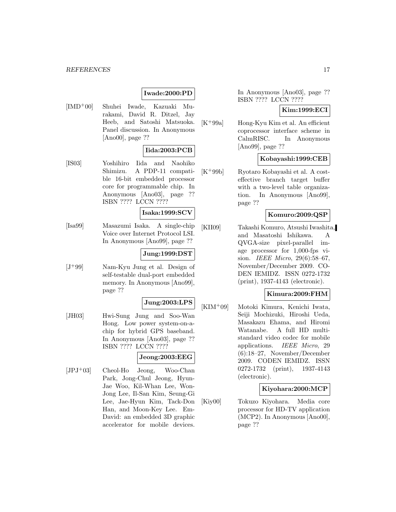#### *REFERENCES* 17

## **Iwade:2000:PD**

[IMD<sup>+</sup>00] Shuhei Iwade, Kazuaki Murakami, David R. Ditzel, Jay Heeb, and Satoshi Matsuoka. Panel discussion. In Anonymous [Ano00], page ??

## **Iida:2003:PCB**

[IS03] Yoshihiro Iida and Naohiko Shimizu. A PDP-11 compatible 16-bit embedded processor core for programmable chip. In Anonymous [Ano03], page ?? ISBN ???? LCCN ????

### **Isaka:1999:SCV**

[Isa99] Masazumi Isaka. A single-chip Voice over Internet Protocol LSI. In Anonymous [Ano99], page ??

### **Jung:1999:DST**

 $[J+99]$  Nam-Kyu Jung et al. Design of self-testable dual-port embedded memory. In Anonymous [Ano99], page ??

## **Jung:2003:LPS**

[JH03] Hwi-Sung Jung and Soo-Wan Hong. Low power system-on-achip for hybrid GPS baseband. In Anonymous [Ano03], page ?? ISBN ???? LCCN ????

## **Jeong:2003:EEG**

[JPJ<sup>+</sup>03] Cheol-Ho Jeong, Woo-Chan Park, Jong-Chul Jeong, Hyun-Jae Woo, Kil-Whan Lee, Won-Jong Lee, Il-San Kim, Seung-Gi Lee, Jae-Hyun Kim, Tack-Don Han, and Moon-Key Lee. Em-David: an embedded 3D graphic accelerator for mobile devices.

In Anonymous [Ano03], page ?? ISBN ???? LCCN ????

## **Kim:1999:ECI**

[K<sup>+</sup>99a] Hong-Kyu Kim et al. An efficient coprocessor interface scheme in CalmRISC. In Anonymous [Ano99], page ??

### **Kobayashi:1999:CEB**

[K<sup>+</sup>99b] Ryotaro Kobayashi et al. A costeffective branch target buffer with a two-level table organization. In Anonymous [Ano99], page ??

### **Komuro:2009:QSP**

[KII09] Takashi Komuro, Atsushi Iwashita, and Masatoshi Ishikawa. A QVGA-size pixel-parallel image processor for 1,000-fps vision. IEEE Micro, 29(6):58–67, November/December 2009. CO-DEN IEMIDZ. ISSN 0272-1732 (print), 1937-4143 (electronic).

### **Kimura:2009:FHM**

[KIM<sup>+</sup>09] Motoki Kimura, Kenichi Iwata, Seiji Mochizuki, Hiroshi Ueda, Masakazu Ehama, and Hiromi Watanabe. A full HD multistandard video codec for mobile applications. IEEE Micro, 29 (6):18–27, November/December 2009. CODEN IEMIDZ. ISSN 0272-1732 (print), 1937-4143 (electronic).

### **Kiyohara:2000:MCP**

[Kiy00] Tokuzo Kiyohara. Media core processor for HD-TV application (MCP2). In Anonymous [Ano00], page ??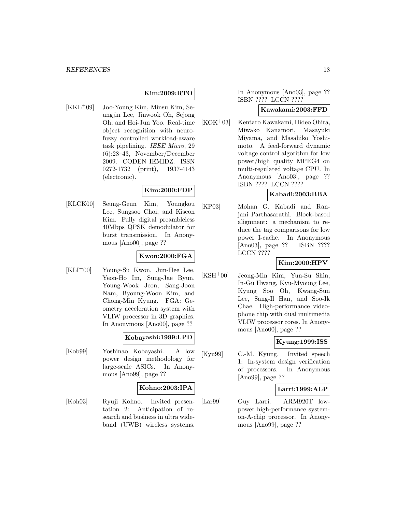## **Kim:2009:RTO**

[KKL<sup>+</sup>09] Joo-Young Kim, Minsu Kim, Seungjin Lee, Jinwook Oh, Sejong Oh, and Hoi-Jun Yoo. Real-time object recognition with neurofuzzy controlled workload-aware task pipelining. IEEE Micro, 29 (6):28–43, November/December 2009. CODEN IEMIDZ. ISSN 0272-1732 (print), 1937-4143 (electronic).

## **Kim:2000:FDP**

[KLCK00] Seung-Geun Kim, Youngkou Lee, Sungsoo Choi, and Kiseon Kim. Fully digital preambleless 40Mbps QPSK demodulator for burst transmission. In Anonymous [Ano00], page ??

## **Kwon:2000:FGA**

 $[KLI<sup>+</sup>00]$  Young-Su Kwon, Jun-Hee Lee, Yeon-Ho Im, Sung-Jae Byun, Young-Wook Jeon, Sang-Joon Nam, Byoung-Woon Kim, and Chong-Min Kyung. FGA: Geometry acceleration system with VLIW processor in 3D graphics. In Anonymous [Ano00], page ??

## **Kobayashi:1999:LPD**

[Kob99] Yoshinao Kobayashi. A low power design methodology for large-scale ASICs. In Anonymous [Ano99], page ??

### **Kohno:2003:IPA**

[Koh03] Ryuji Kohno. Invited presentation 2: Anticipation of research and business in ultra wideband (UWB) wireless systems.

In Anonymous [Ano03], page ?? ISBN ???? LCCN ????

## **Kawakami:2003:FFD**

[KOK<sup>+</sup>03] Kentaro Kawakami, Hideo Ohira, Miwako Kanamori, Masayuki Miyama, and Masahiko Yoshimoto. A feed-forward dynamic voltage control algorithm for low power/high quality MPEG4 on multi-regulated voltage CPU. In Anonymous [Ano03], page ?? ISBN ???? LCCN ????

## **Kabadi:2003:BBA**

[KP03] Mohan G. Kabadi and Ranjani Parthasarathi. Block-based alignment: a mechanism to reduce the tag comparisons for low power I-cache. In Anonymous [Ano03], page ?? ISBN ???? LCCN ????

## **Kim:2000:HPV**

[KSH<sup>+</sup>00] Jeong-Min Kim, Yun-Su Shin, In-Gu Hwang, Kyu-Myoung Lee, Kyung Soo Oh, Kwang-Sun Lee, Sang-Il Han, and Soo-Ik Chae. High-performance videophone chip with dual multimedia VLIW processor cores. In Anonymous [Ano00], page ??

## **Kyung:1999:ISS**

[Kyu99] C.-M. Kyung. Invited speech 1: In-system design verification of processors. In Anonymous [Ano99], page ??

## **Larri:1999:ALP**

[Lar99] Guy Larri. ARM920T lowpower high-performance systemon-A-chip processor. In Anonymous [Ano99], page ??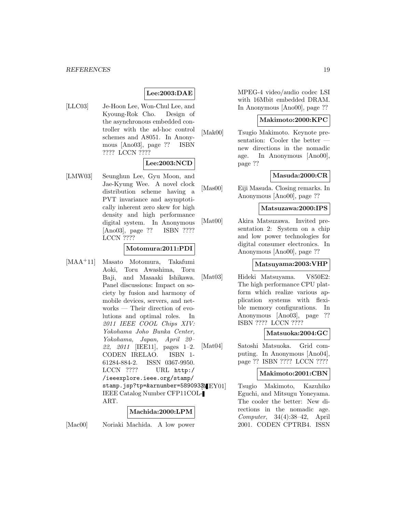## **Lee:2003:DAE**

[LLC03] Je-Hoon Lee, Won-Chul Lee, and Kyoung-Rok Cho. Design of the asynchronous embedded controller with the ad-hoc control schemes and A8051. In Anonymous [Ano03], page ?? ISBN ???? LCCN ????

## **Lee:2003:NCD**

[LMW03] Seunghun Lee, Gyu Moon, and Jae-Kyung Wee. A novel clock distribution scheme having a PVT invariance and asymptotically inherent zero skew for high density and high performance digital system. In Anonymous [Ano03], page ?? ISBN ???? LCCN ????

### **Motomura:2011:PDI**

[MAA<sup>+</sup>11] Masato Motomura, Takafumi Aoki, Toru Awashima, Toru Baji, and Masaaki Ishikawa. Panel discussions: Impact on society by fusion and harmony of mobile devices, servers, and networks — Their direction of evolutions and optimal roles. In 2011 IEEE COOL Chips XIV: Yokohama Joho Bunka Center, Yokohama, Japan, April 20– 22, 2011 [IEE11], pages 1–2. CODEN IRELAO. ISBN 1- 61284-884-2. ISSN 0367-9950. LCCN ???? URL http:/ /ieeexplore.ieee.org/stamp/ stamp.jsp?tp=&arnumber=589093\$MEY01 IEEE Catalog Number CFP11COL-ART.

#### **Machida:2000:LPM**

[Mac00] Noriaki Machida. A low power

MPEG-4 video/audio codec LSI with 16Mbit embedded DRAM. In Anonymous [Ano00], page ??

#### **Makimoto:2000:KPC**

[Mak00] Tsugio Makimoto. Keynote presentation: Cooler the better new directions in the nomadic age. In Anonymous [Ano00], page ??

### **Masuda:2000:CR**

[Mas00] Eiji Masuda. Closing remarks. In Anonymous [Ano00], page ??

#### **Matsuzawa:2000:IPS**

[Mat00] Akira Matsuzawa. Invited presentation 2: System on a chip and low power technologies for digital consumer electronics. In Anonymous [Ano00], page ??

#### **Matsuyama:2003:VHP**

[Mat03] Hideki Matsuyama. V850E2: The high performance CPU platform which realize various application systems with flexible memory configurations. In Anonymous [Ano03], page ?? ISBN ???? LCCN ????

#### **Matsuoka:2004:GC**

[Mat04] Satoshi Matsuoka. Grid computing. In Anonymous [Ano04], page ?? ISBN ???? LCCN ????

### **Makimoto:2001:CBN**

Tsugio Makimoto, Kazuhiko Eguchi, and Mitsugu Yoneyama. The cooler the better: New directions in the nomadic age. Computer, 34(4):38–42, April 2001. CODEN CPTRB4. ISSN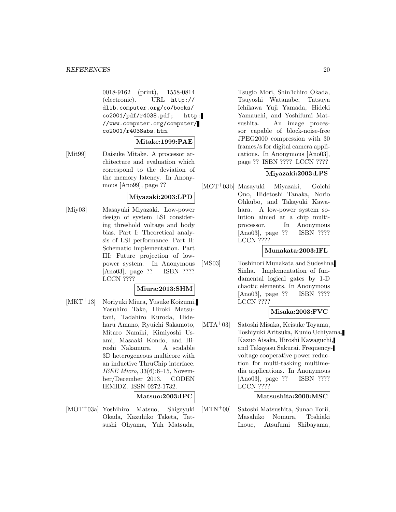0018-9162 (print), 1558-0814 (electronic). URL http:// dlib.computer.org/co/books/ co2001/pdf/r4038.pdf; http: //www.computer.org/computer/ co2001/r4038abs.htm.

## **Mitake:1999:PAE**

[Mit99] Daisuke Mitake. A processor architecture and evaluation which correspond to the deviation of the memory latency. In Anonymous [Ano99], page ??

## **Miyazaki:2003:LPD**

[Miy03] Masayuki Miyazaki. Low-power design of system LSI considering threshold voltage and body bias. Part I: Theoretical analysis of LSI performance. Part II: Schematic implementation. Part III: Future projection of lowpower system. In Anonymous [Ano03], page ?? **ISBN** ???? LCCN ????

## **Miura:2013:SHM**

[MKT<sup>+</sup>13] Noriyuki Miura, Yusuke Koizumi, Yasuhiro Take, Hiroki Matsutani, Tadahiro Kuroda, Hideharu Amano, Ryuichi Sakamoto, Mitaro Namiki, Kimiyoshi Usami, Masaaki Kondo, and Hiroshi Nakamura. A scalable 3D heterogeneous multicore with an inductive ThruChip interface. IEEE Micro, 33(6):6–15, November/December 2013. CODEN IEMIDZ. ISSN 0272-1732.

### **Matsuo:2003:IPC**

[MOT<sup>+</sup>03a] Yoshihiro Matsuo, Shigeyuki Okada, Kazuhiko Taketa, Tatsushi Ohyama, Yuh Matsuda,

Tsugio Mori, Shin'ichiro Okada, Tsuyoshi Watanabe, Tatsuya Ichikawa Yuji Yamada, Hideki Yamauchi, and Yoshifumi Matsushita. An image processor capable of block-noise-free JPEG2000 compression with 30 frames/s for digital camera applications. In Anonymous [Ano03], page ?? ISBN ???? LCCN ????

## **Miyazaki:2003:LPS**

[MOT<sup>+</sup>03b] Masayuki Miyazaki, Goichi Ono, Hidetoshi Tanaka, Norio Ohkubo, and Takayuki Kawahara. A low-power system solution aimed at a chip multiprocessor. In Anonymous [Ano03], page ?? ISBN ???? LCCN ????

## **Munakata:2003:IFL**

[MS03] Toshinori Munakata and Sudeshna Sinha. Implementation of fundamental logical gates by 1-D chaotic elements. In Anonymous [Ano03], page ?? ISBN ???? LCCN ????

## **Misaka:2003:FVC**

[MTA<sup>+</sup>03] Satoshi Misaka, Keisuke Toyama, Toshiyuki Aritsuka, Kunio Uchiyama, Kazuo Aisaka, Hiroshi Kawaguchi, and Takayasu Sakurai. Frequencyvoltage cooperative power reduction for multi-tasking multimedia applications. In Anonymous [Ano03], page ?? ISBN ???? LCCN ????

## **Matsushita:2000:MSC**

[MTN<sup>+</sup>00] Satoshi Matsushita, Sunao Torii, Masahiko Nomura, Toshiaki Inoue, Atsufumi Shibayama,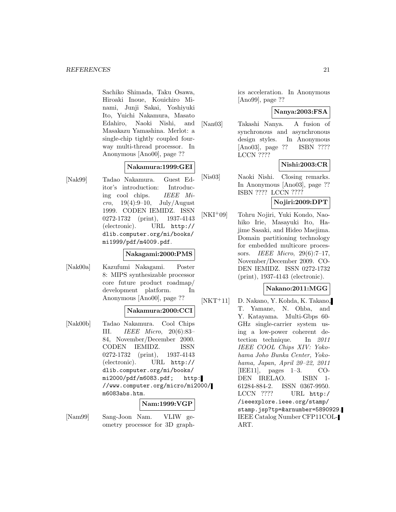Sachiko Shimada, Taku Osawa, Hiroaki Inoue, Kouichiro Minami, Junji Sakai, Yoshiyuki Ito, Yuichi Nakamura, Masato Edahiro, Naoki Nishi, and Masakazu Yamashina. Merlot: a single-chip tightly coupled fourway multi-thread processor. In Anonymous [Ano00], page ??

## **Nakamura:1999:GEI**

[Nak99] Tadao Nakamura. Guest Editor's introduction: Introducing cool chips. IEEE Mi $cro, 19(4):9-10, July/August$ 1999. CODEN IEMIDZ. ISSN 0272-1732 (print), 1937-4143 (electronic). URL http:// dlib.computer.org/mi/books/ mi1999/pdf/m4009.pdf.

### **Nakagami:2000:PMS**

[Nak00a] Kazufumi Nakagami. Poster 8: MIPS synthesizable processor core future product roadmap/ development platform. In Anonymous [Ano00], page ??

## **Nakamura:2000:CCI**

[Nak00b] Tadao Nakamura. Cool Chips III. IEEE Micro, 20(6):83– 84, November/December 2000. CODEN IEMIDZ. ISSN 0272-1732 (print), 1937-4143 (electronic). URL http:// dlib.computer.org/mi/books/ mi2000/pdf/m6083.pdf; http: //www.computer.org/micro/mi2000/ m6083abs.htm.

### **Nam:1999:VGP**

[Nam99] Sang-Joon Nam. VLIW geometry processor for 3D graphics acceleration. In Anonymous [Ano99], page ??

#### **Nanya:2003:FSA**

[Nan03] Takashi Nanya. A fusion of synchronous and asynchronous design styles. In Anonymous [Ano03], page ?? ISBN ???? LCCN ????

## **Nishi:2003:CR**

[Nis03] Naoki Nishi. Closing remarks. In Anonymous [Ano03], page ?? ISBN ???? LCCN ????

## **Nojiri:2009:DPT**

[NKI<sup>+</sup>09] Tohru Nojiri, Yuki Kondo, Naohiko Irie, Masayuki Ito, Hajime Sasaki, and Hideo Maejima. Domain partitioning technology for embedded multicore processors. IEEE Micro, 29(6):7–17, November/December 2009. CO-DEN IEMIDZ. ISSN 0272-1732 (print), 1937-4143 (electronic).

## **Nakano:2011:MGG**

[NKT<sup>+</sup>11] D. Nakano, Y. Kohda, K. Takano, Yamane, N. Ohba, and Y. Katayama. Multi-Gbps 60- GHz single-carrier system using a low-power coherent detection technique. In 2011 IEEE COOL Chips XIV: Yokohama Joho Bunka Center, Yokohama, Japan, April 20–22, 2011 [IEE11], pages 1–3. CO-DEN IRELAO. ISBN 1- 61284-884-2. ISSN 0367-9950. LCCN ???? URL http:/ /ieeexplore.ieee.org/stamp/ stamp.jsp?tp=&arnumber=5890929. IEEE Catalog Number CFP11COL-ART.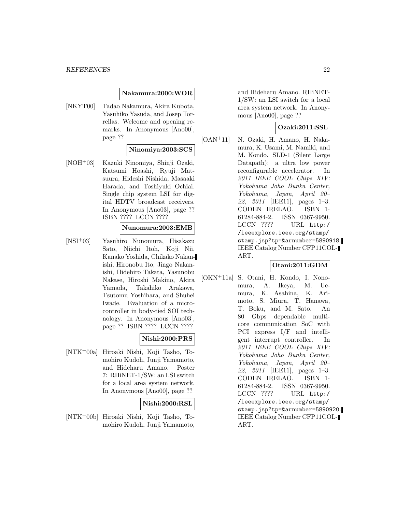### **Nakamura:2000:WOR**

[NKYT00] Tadao Nakamura, Akira Kubota, Yasuhiko Yasuda, and Josep Torrellas. Welcome and opening remarks. In Anonymous [Ano00], page ??

### **Ninomiya:2003:SCS**

[NOH<sup>+</sup>03] Kazuki Ninomiya, Shinji Ozaki, Katsumi Hoashi, Ryuji Matsuura, Hideshi Nishida, Masaaki Harada, and Toshiyuki Ochiai. Single chip system LSI for digital HDTV broadcast receivers. In Anonymous [Ano03], page ?? ISBN ???? LCCN ????

### **Nunomura:2003:EMB**

[NSI<sup>+</sup>03] Yasuhiro Nunomura, Hisakazu Sato, Niichi Itoh, Koji Nii, Kanako Yoshida, Chikako Nakanishi, Hironobu Ito, Jingo Nakanishi, Hidehiro Takata, Yasunobu Nakase, Hiroshi Makino, Akira Yamada, Takahiko Arakawa, Tsutomu Yoshihara, and Shuhei Iwade. Evaluation of a microcontroller in body-tied SOI technology. In Anonymous [Ano03], page ?? ISBN ???? LCCN ????

### **Nishi:2000:PRS**

[NTK<sup>+</sup>00a] Hiroaki Nishi, Koji Tasho, Tomohiro Kudoh, Junji Yamamoto, and Hideharu Amano. Poster 7: RHiNET-1/SW: an LSI switch for a local area system network. In Anonymous [Ano00], page ??

### **Nishi:2000:RSL**

[NTK<sup>+</sup>00b] Hiroaki Nishi, Koji Tasho, Tomohiro Kudoh, Junji Yamamoto, and Hideharu Amano. RHiNET-1/SW: an LSI switch for a local area system network. In Anonymous [Ano00], page ??

## **Ozaki:2011:SSL**

[OAN<sup>+</sup>11] N. Ozaki, H. Amano, H. Nakamura, K. Usami, M. Namiki, and M. Kondo. SLD-1 (Silent Large Datapath): a ultra low power reconfigurable accelerator. In 2011 IEEE COOL Chips XIV: Yokohama Joho Bunka Center, Yokohama, Japan, April 20– 22, 2011 [IEE11], pages 1–3. CODEN IRELAO. ISBN 1- 61284-884-2. ISSN 0367-9950. LCCN ???? URL http:/ /ieeexplore.ieee.org/stamp/ stamp.jsp?tp=&arnumber=5890918. IEEE Catalog Number CFP11COL-ART.

## **Otani:2011:GDM**

[OKN<sup>+</sup>11a] S. Otani, H. Kondo, I. Nonomura, A. Ikeya, M. Uemura, K. Asahina, K. Arimoto, S. Miura, T. Hanawa, T. Boku, and M. Sato. An 80 Gbps dependable multicore communication SoC with PCI express I/F and intelligent interrupt controller. In 2011 IEEE COOL Chips XIV: Yokohama Joho Bunka Center, Yokohama, Japan, April 20– 22, 2011 [IEE11], pages 1–3. CODEN IRELAO. ISBN 1- 61284-884-2. ISSN 0367-9950. LCCN ???? URL http:/ /ieeexplore.ieee.org/stamp/ stamp.jsp?tp=&arnumber=5890920. IEEE Catalog Number CFP11COL-ART.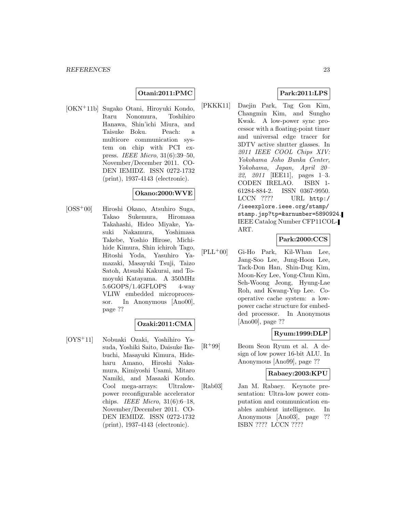## **Otani:2011:PMC**

[OKN<sup>+</sup>11b] Sugako Otani, Hiroyuki Kondo, Itaru Nonomura, Toshihiro Hanawa, Shin'ichi Miura, and Taisuke Boku. Peach: a multicore communication system on chip with PCI express. IEEE Micro, 31(6):39–50, November/December 2011. CO-DEN IEMIDZ. ISSN 0272-1732 (print), 1937-4143 (electronic).

### **Okano:2000:WVE**

[OSS<sup>+</sup>00] Hiroshi Okano, Atsuhiro Suga, Takao Sukemura, Hiromasa Takahashi, Hideo Miyake, Yasuki Nakamura, Yoshimasa Takebe, Yoshio Hirose, Michihide Kimura, Shin ichiroh Tago, Hitoshi Yoda, Yasuhiro Yamazaki, Masayuki Tsuji, Taizo Satoh, Atsushi Kakurai, and Tomoyuki Katayama. A 350MHz 5.6GOPS/1.4GFLOPS 4-way VLIW embedded microprocessor. In Anonymous [Ano00], page ??

## **Ozaki:2011:CMA**

[OYS<sup>+</sup>11] Nobuaki Ozaki, Yoshihiro Yasuda, Yoshiki Saito, Daisuke Ikebuchi, Masayuki Kimura, Hideharu Amano, Hiroshi Nakamura, Kimiyoshi Usami, Mitaro Namiki, and Masaaki Kondo. Cool mega-arrays: Ultralowpower reconfigurable accelerator chips. IEEE Micro, 31(6):6–18, November/December 2011. CO-DEN IEMIDZ. ISSN 0272-1732 (print), 1937-4143 (electronic).

## **Park:2011:LPS**

[PKKK11] Daejin Park, Tag Gon Kim, Changmin Kim, and Sungho Kwak. A low-power sync processor with a floating-point timer and universal edge tracer for 3DTV active shutter glasses. In 2011 IEEE COOL Chips XIV: Yokohama Joho Bunka Center, Yokohama, Japan, April 20– 22, 2011 [IEE11], pages  $1-3$ . CODEN IRELAO. ISBN 1- 61284-884-2. ISSN 0367-9950. LCCN ???? URL http:/ /ieeexplore.ieee.org/stamp/ stamp.jsp?tp=&arnumber=5890924. IEEE Catalog Number CFP11COL-ART.

## **Park:2000:CCS**

[PLL<sup>+</sup>00] Gi-Ho Park, Kil-Whan Lee, Jang-Soo Lee, Jung-Hoon Lee, Tack-Don Han, Shin-Dug Kim, Moon-Key Lee, Yong-Chun Kim, Seh-Woong Jeong, Hyung-Lae Roh, and Kwang-Yup Lee. Cooperative cache system: a lowpower cache structure for embedded processor. In Anonymous [Ano00], page ??

### **Ryum:1999:DLP**

[R<sup>+</sup>99] Beom Seon Ryum et al. A design of low power 16-bit ALU. In Anonymous [Ano99], page ??

## **Rabaey:2003:KPU**

[Rab03] Jan M. Rabaey. Keynote presentation: Ultra-low power computation and communication enables ambient intelligence. In Anonymous [Ano03], page ?? ISBN ???? LCCN ????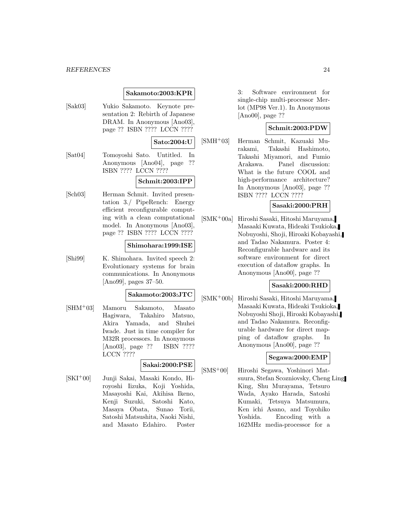#### *REFERENCES* 24

### **Sakamoto:2003:KPR**

[Sak03] Yukio Sakamoto. Keynote presentation 2: Rebirth of Japanese DRAM. In Anonymous [Ano03], page ?? ISBN ???? LCCN ????

## **Sato:2004:U**

[Sat04] Tomoyoshi Sato. Untitled. In Anonymous [Ano04], page ?? ISBN ???? LCCN ????

## **Schmit:2003:IPP**

[Sch03] Herman Schmit. Invited presentation 3./ PipeRench: Energy efficient reconfigurable computing with a clean computational model. In Anonymous [Ano03], page ?? ISBN ???? LCCN ????

### **Shimohara:1999:ISE**

[Shi99] K. Shimohara. Invited speech 2: Evolutionary systems for brain communications. In Anonymous [Ano99], pages 37–50.

#### **Sakamoto:2003:JTC**

[SHM<sup>+</sup>03] Mamoru Sakamoto, Masato Hagiwara, Takahiro Matsuo, Akira Yamada, and Shuhei Iwade. Just in time compiler for M32R processors. In Anonymous [Ano03], page ?? ISBN ???? LCCN ????

### **Sakai:2000:PSE**

[SKI<sup>+</sup>00] Junji Sakai, Masaki Kondo, Hiroyoshi Iizuka, Koji Yoshida, Masayoshi Kai, Akihisa Ikeno, Kenji Suzuki, Satoshi Kato, Masaya Obata, Sunao Torii, Satoshi Matsushita, Naoki Nishi, and Masato Edahiro. Poster

3: Software environment for single-chip multi-processor Merlot (MP98 Ver.1). In Anonymous [Ano00], page ??

## **Schmit:2003:PDW**

[SMH<sup>+</sup>03] Herman Schmit, Kazuaki Murakami, Takashi Hashimoto, Takashi Miyamori, and Fumio Arakawa. Panel discussion: What is the future COOL and high-performance architecture? In Anonymous [Ano03], page ?? ISBN ???? LCCN ????

### **Sasaki:2000:PRH**

[SMK<sup>+</sup>00a] Hiroshi Sasaki, Hitoshi Maruyama, Masaaki Kuwata, Hideaki Tsukioka, Nobuyoshi, Shoji, Hiroaki Kobayashi, and Tadao Nakamura. Poster 4: Reconfigurable hardware and its software environment for direct execution of dataflow graphs. In Anonymous [Ano00], page ??

### **Sasaki:2000:RHD**

[SMK<sup>+</sup>00b] Hiroshi Sasaki, Hitoshi Maruyama, Masaaki Kuwata, Hideaki Tsukioka, Nobuyoshi Shoji, Hiroaki Kobayashi, and Tadao Nakamura. Reconfigurable hardware for direct mapping of dataflow graphs. In Anonymous [Ano00], page ??

### **Segawa:2000:EMP**

[SMS<sup>+</sup>00] Hiroshi Segawa, Yoshinori Matsuura, Stefan Scozniovsky, Cheng Ling King, Shu Murayama, Tetsuro Wada, Ayako Harada, Satoshi Kumaki, Tetsuya Matsumura, Ken ichi Asano, and Toyohiko Yoshida. Encoding with a 162MHz media-processor for a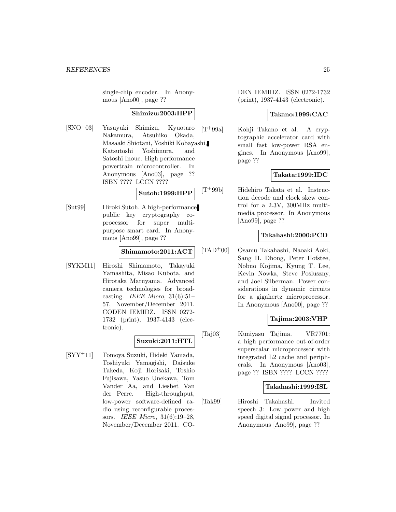single-chip encoder. In Anonymous [Ano00], page ??

### **Shimizu:2003:HPP**

[SNO<sup>+</sup>03] Yasuyuki Shimizu, Kyuotaro Nakamura, Atsuhiko Okada, Masaaki Shiotani, Yoshiki Kobayashi, Katsutoshi Yoshimura, and Satoshi Inoue. High performance powertrain microcontroller. In Anonymous [Ano03], page ?? ISBN ???? LCCN ????

**Sutoh:1999:HPP**

[Sut99] Hiroki Sutoh. A high-performance public key cryptography coprocessor for super multipurpose smart card. In Anonymous [Ano99], page ??

### **Shimamoto:2011:ACT**

[SYKM11] Hiroshi Shimamoto, Takayuki Yamashita, Misao Kubota, and Hirotaka Maruyama. Advanced camera technologies for broadcasting. IEEE Micro,  $31(6):51-$ 57, November/December 2011. CODEN IEMIDZ. ISSN 0272- 1732 (print), 1937-4143 (electronic).

# **Suzuki:2011:HTL**

[SYY<sup>+</sup>11] Tomoya Suzuki, Hideki Yamada, Toshiyuki Yamagishi, Daisuke Takeda, Koji Horisaki, Toshio Fujisawa, Yasuo Unekawa, Tom Vander Aa, and Liesbet Van der Perre. High-throughput, low-power software-defined radio using reconfigurable processors. IEEE Micro, 31(6):19–28, November/December 2011. CO-

DEN IEMIDZ. ISSN 0272-1732 (print), 1937-4143 (electronic).

### **Takano:1999:CAC**

[T<sup>+</sup>99a] Kohji Takano et al. A cryptographic accelerator card with small fast low-power RSA engines. In Anonymous [Ano99], page ??

## **Takata:1999:IDC**

[T<sup>+</sup>99b] Hidehiro Takata et al. Instruction decode and clock skew control for a 2.3V, 300MHz multimedia processor. In Anonymous [Ano99], page ??

## **Takahashi:2000:PCD**

[TAD<sup>+</sup>00] Osamu Takahashi, Naoaki Aoki, Sang H. Dhong, Peter Hofstee, Nobuo Kojima, Kyung T. Lee, Kevin Nowka, Steve Posluszny, and Joel Silberman. Power considerations in dynamic circuits for a gigahertz microprocessor. In Anonymous [Ano00], page ??

## **Tajima:2003:VHP**

[Taj03] Kuniyasu Tajima. VR7701: a high performance out-of-order superscalar microprocessor with integrated L2 cache and peripherals. In Anonymous [Ano03], page ?? ISBN ???? LCCN ????

### **Takahashi:1999:ISL**

[Tak99] Hiroshi Takahashi. Invited speech 3: Low power and high speed digital signal processor. In Anonymous [Ano99], page ??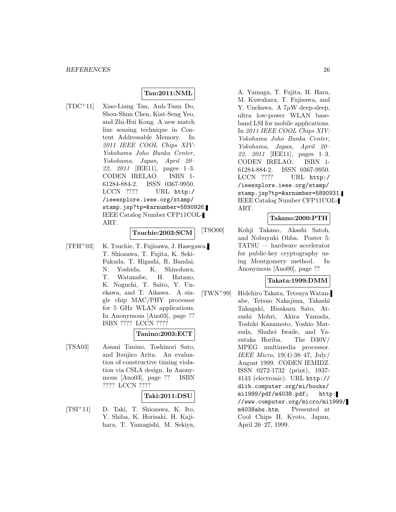## **Tan:2011:NML**

[TDC<sup>+</sup>11] Xiao-Liang Tan, Anh-Tuan Do, Shou-Shun Chen, Kiat-Seng Yeo, and Zhi-Hui Kong. A new match line sensing technique in Content Addressable Memory. In 2011 IEEE COOL Chips XIV: Yokohama Joho Bunka Center, Yokohama, Japan, April 20– 22, 2011 [IEE11], pages  $1-3$ . CODEN IRELAO. ISBN 1- 61284-884-2. ISSN 0367-9950. LCCN ???? URL http:/ /ieeexplore.ieee.org/stamp/ stamp.jsp?tp=&arnumber=5890926. IEEE Catalog Number CFP11COL-ART.

### **Tsuchie:2003:SCM**

[TFH<sup>+</sup>03] K. Tsuchie, T. Fujisawa, J. Hasegawa, T. Shiozawa, T. Fujita, K. Seki-Fukuda, T. Higashi, R. Bandai, N. Yoshida, K. Shinohara, T. Watanabe, H. Hatano, K. Noguchi, T. Saito, Y. Unekawa, and T. Aikawa. A single chip MAC/PHY processor for 5 GHz WLAN applications. In Anonymous [Ano03], page ?? ISBN ???? LCCN ????

### **Tanino:2003:ECT**

[TSA03] Asami Tanino, Toshinori Sato, and Itsujiro Arita. An evaluation of constructive timing violation via CSLA design. In Anonymous [Ano03], page ?? ISBN ???? LCCN ????

## **Taki:2011:DSU**

[TSI<sup>+</sup>11] D. Taki, T. Shiozawa, K. Ito, Y. Shiba, K. Horisaki, H. Kajihara, T. Yamagishi, M. Sekiya,

A. Yamaga, T. Fujita, H. Hara, M. Kuwahara, T. Fujisawa, and Y. Unekawa. A  $7\mu$ W deep-sleep, ultra low-power WLAN baseband LSI for mobile applications. In 2011 IEEE COOL Chips XIV: Yokohama Joho Bunka Center, Yokohama, Japan, April 20– 22, 2011 [IEE11], pages 1–3. CODEN IRELAO. ISBN 1- 61284-884-2. ISSN 0367-9950. LCCN ???? URL http:/ /ieeexplore.ieee.org/stamp/ stamp.jsp?tp=&arnumber=5890931. IEEE Catalog Number CFP11COL-ART.

### **Takano:2000:PTH**

[TSO00] Kohji Takano, Akashi Satoh, and Nobuyuki Ohba. Poster 5: TATSU — hardware accelerator for public-key cryptography using Montgomery method. In Anonymous [Ano00], page ??

## **Takata:1999:DMM**

[TWN<sup>+</sup>99] Hidehiro Takata, Tetsuya Watanabe, Tetsuo Nakajima, Takashi Takagaki, Hisakazu Sato, Atsushi Mohri, Akira Yamada, Toshiki Kanamoto, Yoshio Matsuda, Shuhei Iwade, and Yasutaka Horiba. The D30V/ MPEG multimedia processor. IEEE Micro, 19(4):38–47, July/ August 1999. CODEN IEMIDZ. ISSN 0272-1732 (print), 1937- 4143 (electronic). URL http:// dlib.computer.org/mi/books/ mi1999/pdf/m4038.pdf; http: //www.computer.org/micro/mi1999/ m4038abs.htm. Presented at Cool Chips II, Kyoto, Japan, April 26–27, 1999.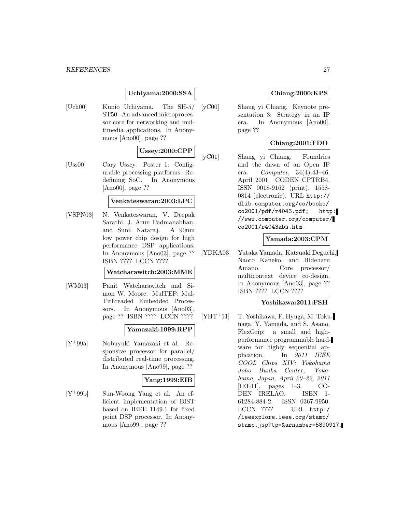#### *REFERENCES* 27

## **Uchiyama:2000:SSA**

[Uch00] Kunio Uchiyama. The SH-5/ ST50: An advanced microprocessor core for networking and multimedia applications. In Anonymous [Ano00], page ??

## **Ussey:2000:CPP**

[Uss00] Cary Ussey. Poster 1: Configurable processing platforms: Redefining SoC. In Anonymous [Ano00], page ??

### **Venkateswaran:2003:LPC**

[VSPN03] N. Venkateswaran, V. Deepak Sarathi, J. Arun Padmanabhan, and Sunil Nataraj. A 90nm low power chip design for high performance DSP applications. In Anonymous [Ano03], page ?? ISBN ???? LCCN ????

## **Watcharawitch:2003:MME**

[WM03] Panit Watcharawitch and Simon W. Moore. MulTEP: Mul-Tithreaded Embedded Processors. In Anonymous [Ano03], page ?? ISBN ???? LCCN ????

#### **Yamazaki:1999:RPP**

[Y<sup>+</sup>99a] Nobuyuki Yamazaki et al. Responsive processor for parallel/ distributed real-time processing. In Anonymous [Ano99], page ??

## **Yang:1999:EIB**

[Y<sup>+</sup>99b] Sun-Woong Yang et al. An efficient implementation of BIST based on IEEE 1149.1 for fixed point DSP processor. In Anonymous [Ano99], page ??

## **Chiang:2000:KPS**

[yC00] Shang yi Chiang. Keynote presentation 3: Strategy in an IP era. In Anonymous [Ano00], page ??

## **Chiang:2001:FDO**

[yC01] Shang yi Chiang. Foundries and the dawn of an Open IP era. Computer, 34(4):43–46, April 2001. CODEN CPTRB4. ISSN 0018-9162 (print), 1558- 0814 (electronic). URL http:// dlib.computer.org/co/books/ co2001/pdf/r4043.pdf; http: //www.computer.org/computer/ co2001/r4043abs.htm.

### **Yamada:2003:CPM**

[YDKA03] Yutaka Yamada, Katsuaki Deguchi, Naoto Kaneko, and Hideharu Amano. Core processor/ multicontext device co-design. In Anonymous [Ano03], page ?? ISBN ???? LCCN ????

## **Yoshikawa:2011:FSH**

[YHT<sup>+</sup>11] T. Yoshikawa, F. Hyuga, M. Tokunaga, Y. Yamada, and S. Asano. FlexGrip: a small and highperformance programmable hardware for highly sequential application. In 2011 IEEE COOL Chips XIV: Yokohama Joho Bunka Center, Yokohama, Japan, April 20–22, 2011 [IEE11], pages 1–3. CO-DEN IRELAO. ISBN 1- 61284-884-2. ISSN 0367-9950. LCCN ???? URL http:/ /ieeexplore.ieee.org/stamp/ stamp.jsp?tp=&arnumber=5890917.